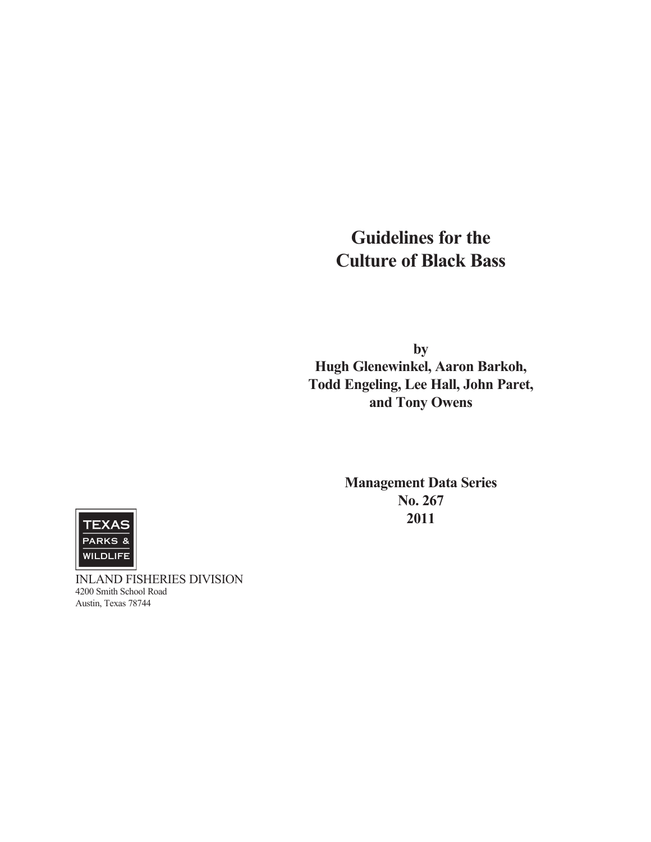# **Guidelines for the Culture of Black Bass**

**by Hugh Glenewinkel, Aaron Barkoh, Todd Engeling, Lee Hall, John Paret, and Tony Owens**

> **Management Data Series No. 267 2011**



INLAND FISHERIES DIVISION 4200 Smith School Road Austin, Texas 78744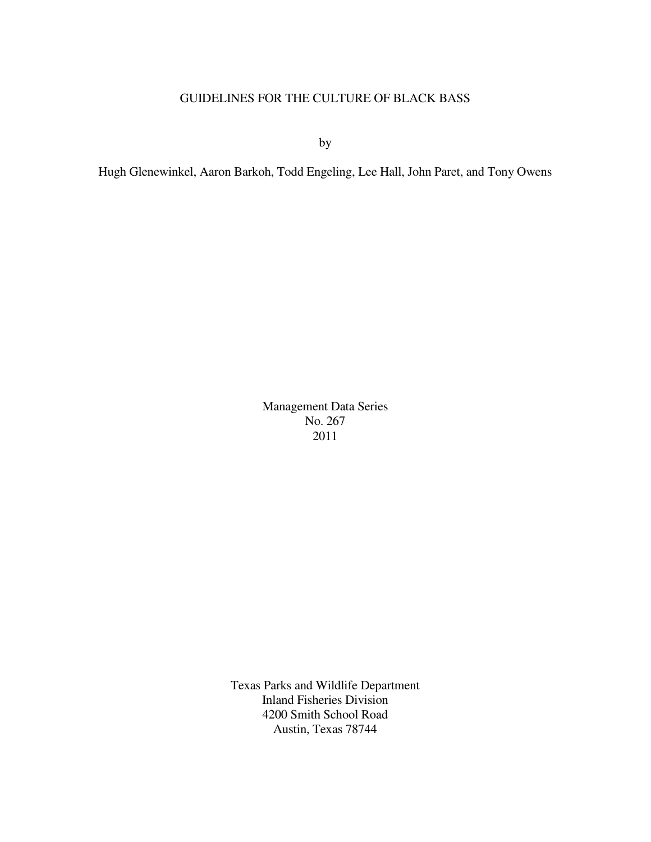# GUIDELINES FOR THE CULTURE OF BLACK BASS

by

Hugh Glenewinkel, Aaron Barkoh, Todd Engeling, Lee Hall, John Paret, and Tony Owens

Management Data Series No. 267 2011

Texas Parks and Wildlife Department Inland Fisheries Division 4200 Smith School Road Austin, Texas 78744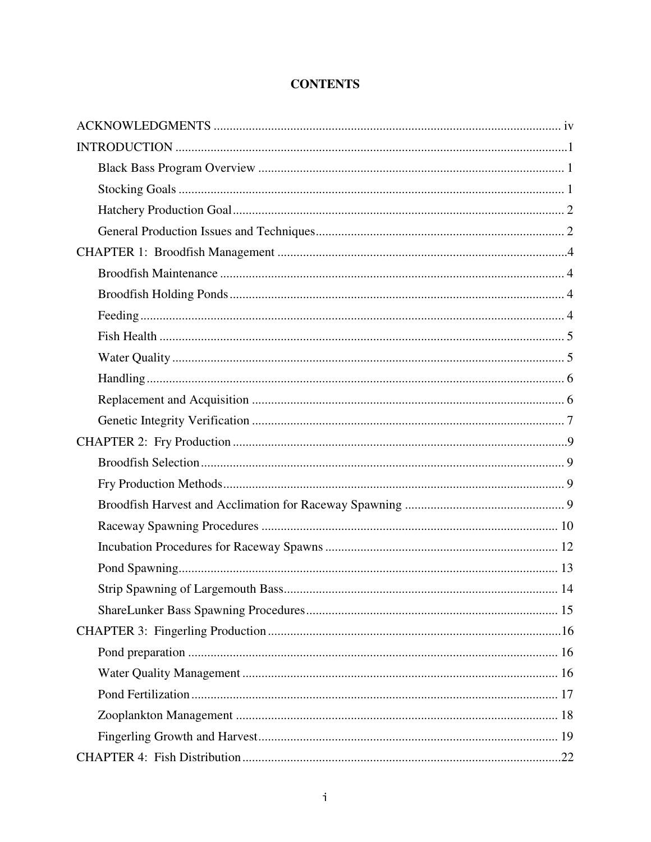# **CONTENTS**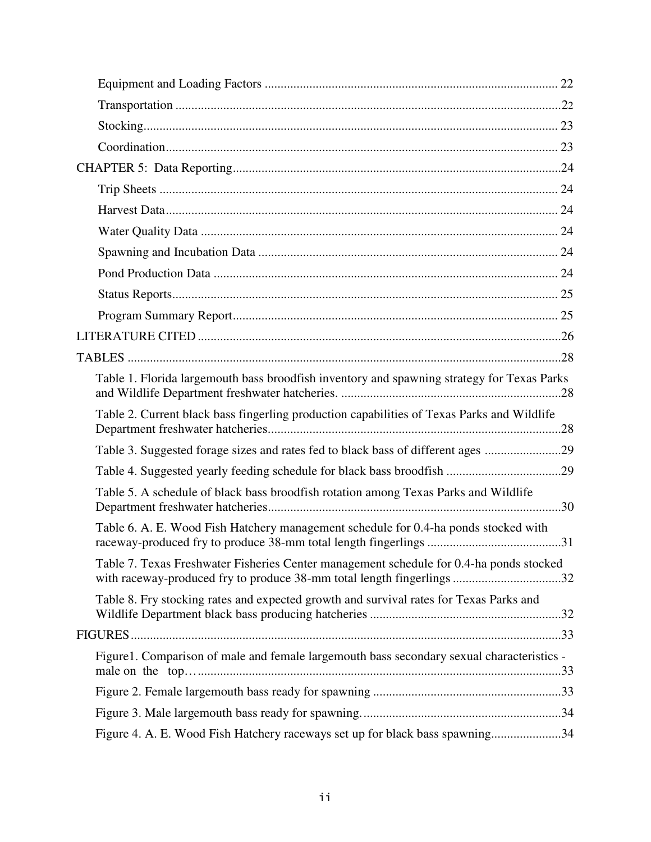| Table 1. Florida largemouth bass broodfish inventory and spawning strategy for Texas Parks                                                                        |  |
|-------------------------------------------------------------------------------------------------------------------------------------------------------------------|--|
| Table 2. Current black bass fingerling production capabilities of Texas Parks and Wildlife                                                                        |  |
| Table 3. Suggested forage sizes and rates fed to black bass of different ages 29                                                                                  |  |
|                                                                                                                                                                   |  |
| Table 5. A schedule of black bass broodfish rotation among Texas Parks and Wildlife                                                                               |  |
| Table 6. A. E. Wood Fish Hatchery management schedule for 0.4-ha ponds stocked with                                                                               |  |
| Table 7. Texas Freshwater Fisheries Center management schedule for 0.4-ha ponds stocked<br>with raceway-produced fry to produce 38-mm total length fingerlings 32 |  |
| Table 8. Fry stocking rates and expected growth and survival rates for Texas Parks and                                                                            |  |
|                                                                                                                                                                   |  |
| Figure1. Comparison of male and female largemouth bass secondary sexual characteristics -                                                                         |  |
|                                                                                                                                                                   |  |
|                                                                                                                                                                   |  |
| Figure 4. A. E. Wood Fish Hatchery raceways set up for black bass spawning34                                                                                      |  |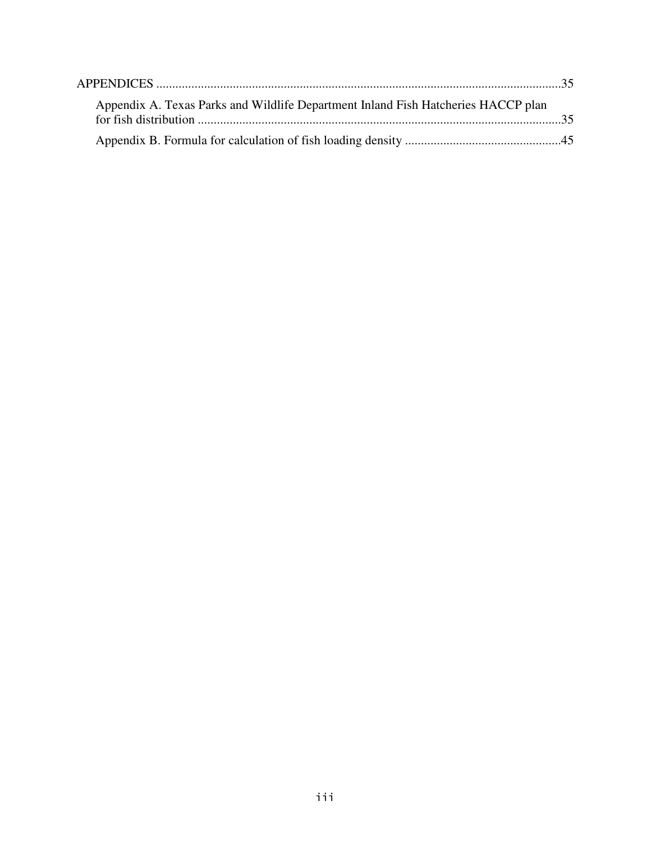| Appendix A. Texas Parks and Wildlife Department Inland Fish Hatcheries HACCP plan |  |
|-----------------------------------------------------------------------------------|--|
|                                                                                   |  |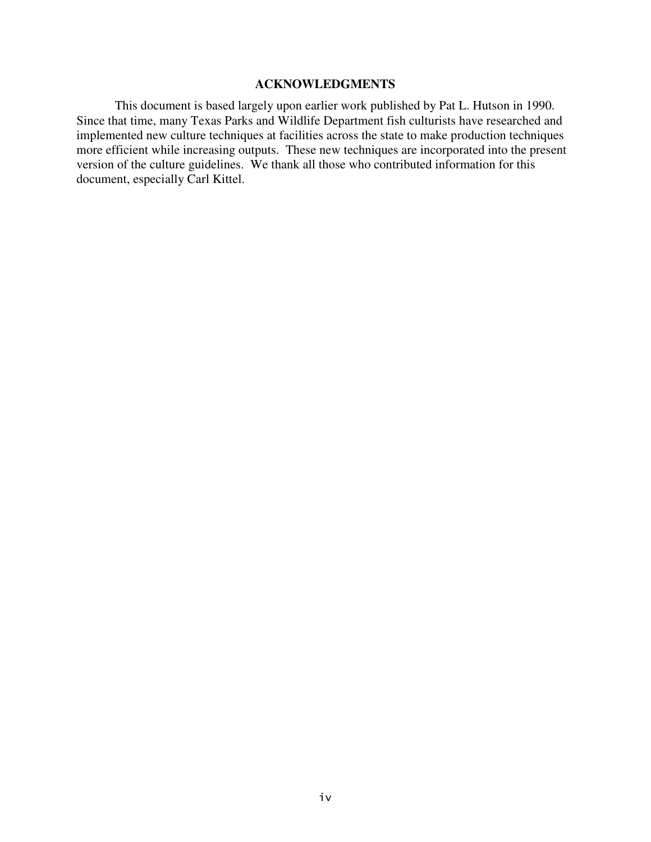# **ACKNOWLEDGMENTS**

This document is based largely upon earlier work published by Pat L. Hutson in 1990. Since that time, many Texas Parks and Wildlife Department fish culturists have researched and implemented new culture techniques at facilities across the state to make production techniques more efficient while increasing outputs. These new techniques are incorporated into the present version of the culture guidelines. We thank all those who contributed information for this document, especially Carl Kittel.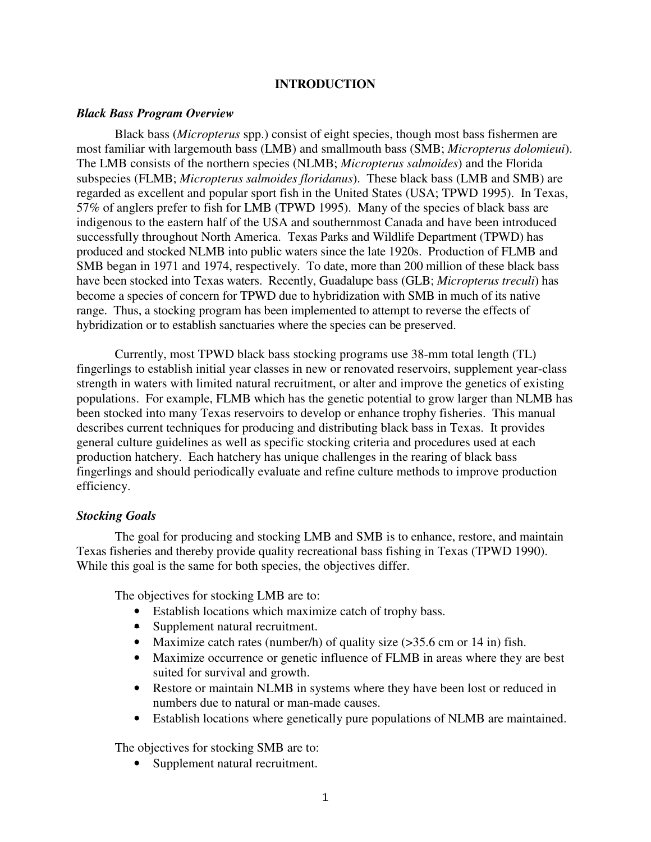# **INTRODUCTION**

#### *Black Bass Program Overview*

Black bass (*Micropterus* spp.) consist of eight species, though most bass fishermen are most familiar with largemouth bass (LMB) and smallmouth bass (SMB; *Micropterus dolomieui*). The LMB consists of the northern species (NLMB; *Micropterus salmoides*) and the Florida subspecies (FLMB; *Micropterus salmoides floridanus*). These black bass (LMB and SMB) are regarded as excellent and popular sport fish in the United States (USA; TPWD 1995). In Texas, 57% of anglers prefer to fish for LMB (TPWD 1995). Many of the species of black bass are indigenous to the eastern half of the USA and southernmost Canada and have been introduced successfully throughout North America. Texas Parks and Wildlife Department (TPWD) has produced and stocked NLMB into public waters since the late 1920s. Production of FLMB and SMB began in 1971 and 1974, respectively. To date, more than 200 million of these black bass have been stocked into Texas waters. Recently, Guadalupe bass (GLB; *Micropterus treculi*) has become a species of concern for TPWD due to hybridization with SMB in much of its native range. Thus, a stocking program has been implemented to attempt to reverse the effects of hybridization or to establish sanctuaries where the species can be preserved.

Currently, most TPWD black bass stocking programs use 38-mm total length (TL) fingerlings to establish initial year classes in new or renovated reservoirs, supplement year-class strength in waters with limited natural recruitment, or alter and improve the genetics of existing populations. For example, FLMB which has the genetic potential to grow larger than NLMB has been stocked into many Texas reservoirs to develop or enhance trophy fisheries. This manual describes current techniques for producing and distributing black bass in Texas. It provides general culture guidelines as well as specific stocking criteria and procedures used at each production hatchery. Each hatchery has unique challenges in the rearing of black bass fingerlings and should periodically evaluate and refine culture methods to improve production efficiency.

#### *Stocking Goals*

The goal for producing and stocking LMB and SMB is to enhance, restore, and maintain Texas fisheries and thereby provide quality recreational bass fishing in Texas (TPWD 1990). While this goal is the same for both species, the objectives differ.

The objectives for stocking LMB are to:

- Establish locations which maximize catch of trophy bass.
- Supplement natural recruitment.
- Maximize catch rates (number/h) of quality size (>35.6 cm or 14 in) fish.
- Maximize occurrence or genetic influence of FLMB in areas where they are best suited for survival and growth.
- Restore or maintain NLMB in systems where they have been lost or reduced in numbers due to natural or man-made causes.
- Establish locations where genetically pure populations of NLMB are maintained.

The objectives for stocking SMB are to:

• Supplement natural recruitment.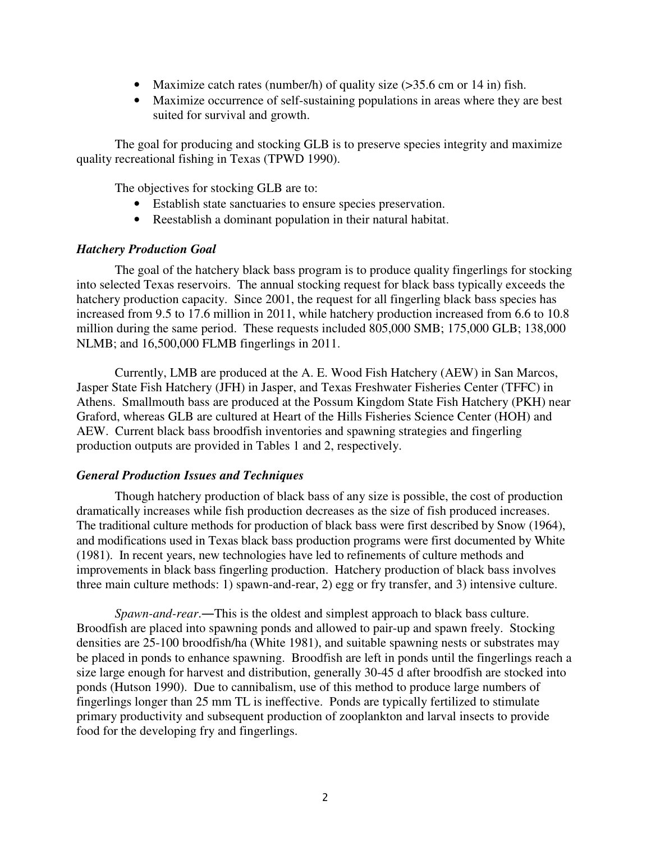- Maximize catch rates (number/h) of quality size (>35.6 cm or 14 in) fish.
- Maximize occurrence of self-sustaining populations in areas where they are best suited for survival and growth.

The goal for producing and stocking GLB is to preserve species integrity and maximize quality recreational fishing in Texas (TPWD 1990).

The objectives for stocking GLB are to:

- Establish state sanctuaries to ensure species preservation.
- Reestablish a dominant population in their natural habitat.

# *Hatchery Production Goal*

The goal of the hatchery black bass program is to produce quality fingerlings for stocking into selected Texas reservoirs. The annual stocking request for black bass typically exceeds the hatchery production capacity. Since 2001, the request for all fingerling black bass species has increased from 9.5 to 17.6 million in 2011, while hatchery production increased from 6.6 to 10.8 million during the same period. These requests included 805,000 SMB; 175,000 GLB; 138,000 NLMB; and 16,500,000 FLMB fingerlings in 2011.

Currently, LMB are produced at the A. E. Wood Fish Hatchery (AEW) in San Marcos, Jasper State Fish Hatchery (JFH) in Jasper, and Texas Freshwater Fisheries Center (TFFC) in Athens. Smallmouth bass are produced at the Possum Kingdom State Fish Hatchery (PKH) near Graford, whereas GLB are cultured at Heart of the Hills Fisheries Science Center (HOH) and AEW. Current black bass broodfish inventories and spawning strategies and fingerling production outputs are provided in Tables 1 and 2, respectively.

# *General Production Issues and Techniques*

Though hatchery production of black bass of any size is possible, the cost of production dramatically increases while fish production decreases as the size of fish produced increases. The traditional culture methods for production of black bass were first described by Snow (1964), and modifications used in Texas black bass production programs were first documented by White (1981). In recent years, new technologies have led to refinements of culture methods and improvements in black bass fingerling production. Hatchery production of black bass involves three main culture methods: 1) spawn-and-rear, 2) egg or fry transfer, and 3) intensive culture.

*Spawn-and-rear*.―This is the oldest and simplest approach to black bass culture. Broodfish are placed into spawning ponds and allowed to pair-up and spawn freely. Stocking densities are 25-100 broodfish/ha (White 1981), and suitable spawning nests or substrates may be placed in ponds to enhance spawning. Broodfish are left in ponds until the fingerlings reach a size large enough for harvest and distribution, generally 30-45 d after broodfish are stocked into ponds (Hutson 1990). Due to cannibalism, use of this method to produce large numbers of fingerlings longer than 25 mm TL is ineffective. Ponds are typically fertilized to stimulate primary productivity and subsequent production of zooplankton and larval insects to provide food for the developing fry and fingerlings.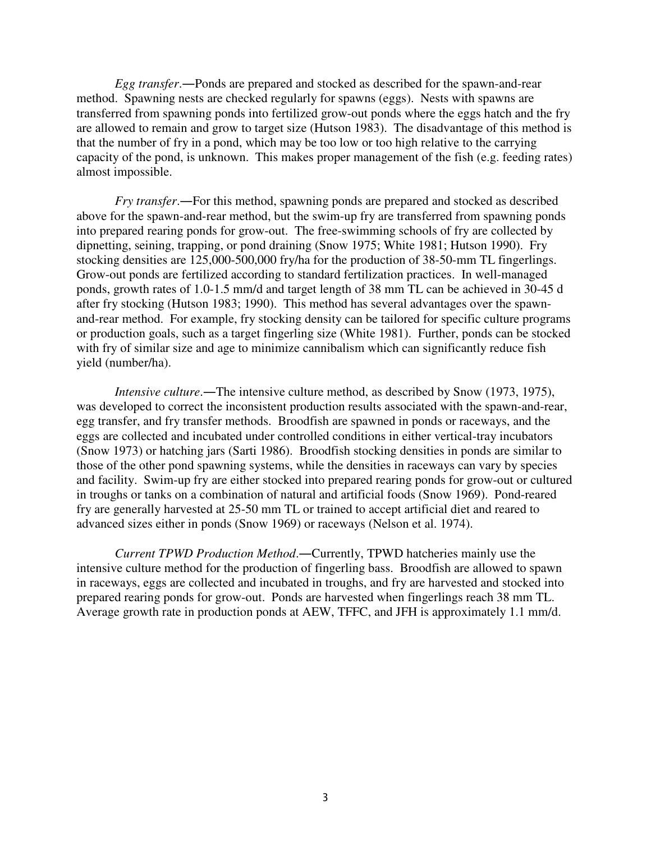*Egg transfer*.―Ponds are prepared and stocked as described for the spawn-and-rear method. Spawning nests are checked regularly for spawns (eggs). Nests with spawns are transferred from spawning ponds into fertilized grow-out ponds where the eggs hatch and the fry are allowed to remain and grow to target size (Hutson 1983). The disadvantage of this method is that the number of fry in a pond, which may be too low or too high relative to the carrying capacity of the pond, is unknown. This makes proper management of the fish (e.g. feeding rates) almost impossible.

*Fry transfer*.―For this method, spawning ponds are prepared and stocked as described above for the spawn-and-rear method, but the swim-up fry are transferred from spawning ponds into prepared rearing ponds for grow-out. The free-swimming schools of fry are collected by dipnetting, seining, trapping, or pond draining (Snow 1975; White 1981; Hutson 1990). Fry stocking densities are 125,000-500,000 fry/ha for the production of 38-50-mm TL fingerlings. Grow-out ponds are fertilized according to standard fertilization practices. In well-managed ponds, growth rates of 1.0-1.5 mm/d and target length of 38 mm TL can be achieved in 30-45 d after fry stocking (Hutson 1983; 1990). This method has several advantages over the spawnand-rear method. For example, fry stocking density can be tailored for specific culture programs or production goals, such as a target fingerling size (White 1981). Further, ponds can be stocked with fry of similar size and age to minimize cannibalism which can significantly reduce fish yield (number/ha).

*Intensive culture*.―The intensive culture method, as described by Snow (1973, 1975), was developed to correct the inconsistent production results associated with the spawn-and-rear, egg transfer, and fry transfer methods. Broodfish are spawned in ponds or raceways, and the eggs are collected and incubated under controlled conditions in either vertical-tray incubators (Snow 1973) or hatching jars (Sarti 1986). Broodfish stocking densities in ponds are similar to those of the other pond spawning systems, while the densities in raceways can vary by species and facility. Swim-up fry are either stocked into prepared rearing ponds for grow-out or cultured in troughs or tanks on a combination of natural and artificial foods (Snow 1969). Pond-reared fry are generally harvested at 25-50 mm TL or trained to accept artificial diet and reared to advanced sizes either in ponds (Snow 1969) or raceways (Nelson et al. 1974).

*Current TPWD Production Method*.―Currently, TPWD hatcheries mainly use the intensive culture method for the production of fingerling bass. Broodfish are allowed to spawn in raceways, eggs are collected and incubated in troughs, and fry are harvested and stocked into prepared rearing ponds for grow-out. Ponds are harvested when fingerlings reach 38 mm TL. Average growth rate in production ponds at AEW, TFFC, and JFH is approximately 1.1 mm/d.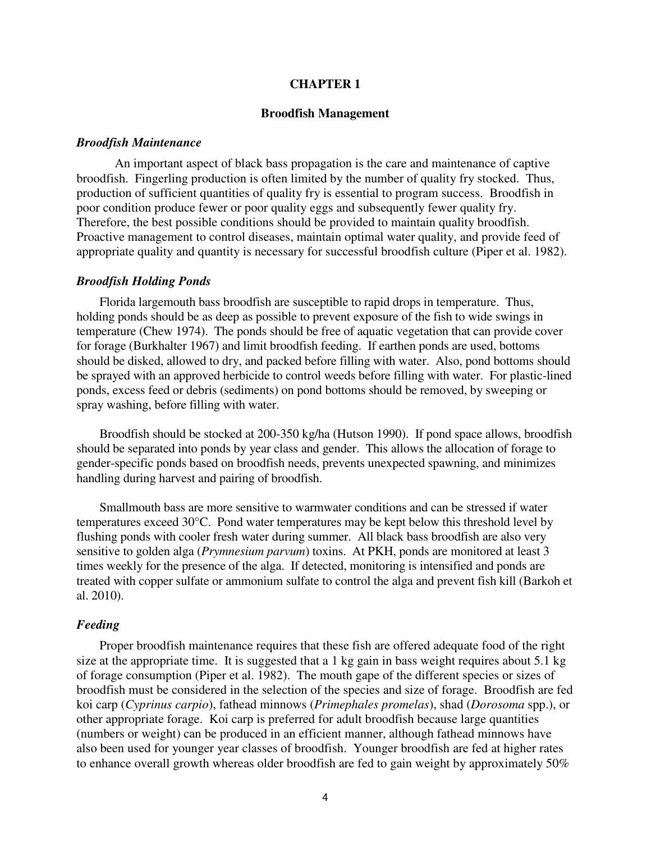#### **CHAPTER 1**

#### **Broodfish Management**

#### *Broodfish Maintenance*

An important aspect of black bass propagation is the care and maintenance of captive broodfish. Fingerling production is often limited by the number of quality fry stocked. Thus, production of sufficient quantities of quality fry is essential to program success. Broodfish in poor condition produce fewer or poor quality eggs and subsequently fewer quality fry. Therefore, the best possible conditions should be provided to maintain quality broodfish. Proactive management to control diseases, maintain optimal water quality, and provide feed of appropriate quality and quantity is necessary for successful broodfish culture (Piper et al. 1982).

#### *Broodfish Holding Ponds*

 Florida largemouth bass broodfish are susceptible to rapid drops in temperature. Thus, holding ponds should be as deep as possible to prevent exposure of the fish to wide swings in temperature (Chew 1974). The ponds should be free of aquatic vegetation that can provide cover for forage (Burkhalter 1967) and limit broodfish feeding. If earthen ponds are used, bottoms should be disked, allowed to dry, and packed before filling with water. Also, pond bottoms should be sprayed with an approved herbicide to control weeds before filling with water. For plastic-lined ponds, excess feed or debris (sediments) on pond bottoms should be removed, by sweeping or spray washing, before filling with water.

 Broodfish should be stocked at 200-350 kg/ha (Hutson 1990). If pond space allows, broodfish should be separated into ponds by year class and gender. This allows the allocation of forage to gender-specific ponds based on broodfish needs, prevents unexpected spawning, and minimizes handling during harvest and pairing of broodfish.

 Smallmouth bass are more sensitive to warmwater conditions and can be stressed if water temperatures exceed 30°C. Pond water temperatures may be kept below this threshold level by flushing ponds with cooler fresh water during summer. All black bass broodfish are also very sensitive to golden alga (*Prymnesium parvum*) toxins. At PKH, ponds are monitored at least 3 times weekly for the presence of the alga. If detected, monitoring is intensified and ponds are treated with copper sulfate or ammonium sulfate to control the alga and prevent fish kill (Barkoh et al. 2010).

#### *Feeding*

 Proper broodfish maintenance requires that these fish are offered adequate food of the right size at the appropriate time. It is suggested that a 1 kg gain in bass weight requires about 5.1 kg of forage consumption (Piper et al. 1982). The mouth gape of the different species or sizes of broodfish must be considered in the selection of the species and size of forage. Broodfish are fed koi carp (*Cyprinus carpio*), fathead minnows (*Primephales promelas*), shad (*Dorosoma* spp.), or other appropriate forage. Koi carp is preferred for adult broodfish because large quantities (numbers or weight) can be produced in an efficient manner, although fathead minnows have also been used for younger year classes of broodfish. Younger broodfish are fed at higher rates to enhance overall growth whereas older broodfish are fed to gain weight by approximately 50%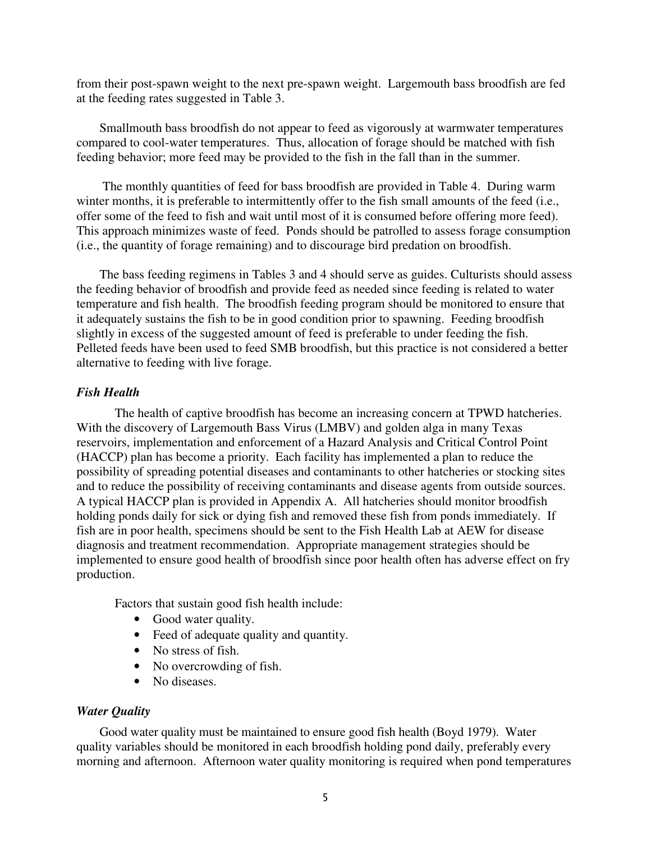from their post-spawn weight to the next pre-spawn weight. Largemouth bass broodfish are fed at the feeding rates suggested in Table 3.

 Smallmouth bass broodfish do not appear to feed as vigorously at warmwater temperatures compared to cool-water temperatures. Thus, allocation of forage should be matched with fish feeding behavior; more feed may be provided to the fish in the fall than in the summer.

 The monthly quantities of feed for bass broodfish are provided in Table 4. During warm winter months, it is preferable to intermittently offer to the fish small amounts of the feed (i.e., offer some of the feed to fish and wait until most of it is consumed before offering more feed). This approach minimizes waste of feed. Ponds should be patrolled to assess forage consumption (i.e., the quantity of forage remaining) and to discourage bird predation on broodfish.

 The bass feeding regimens in Tables 3 and 4 should serve as guides. Culturists should assess the feeding behavior of broodfish and provide feed as needed since feeding is related to water temperature and fish health. The broodfish feeding program should be monitored to ensure that it adequately sustains the fish to be in good condition prior to spawning. Feeding broodfish slightly in excess of the suggested amount of feed is preferable to under feeding the fish. Pelleted feeds have been used to feed SMB broodfish, but this practice is not considered a better alternative to feeding with live forage.

# *Fish Health*

The health of captive broodfish has become an increasing concern at TPWD hatcheries. With the discovery of Largemouth Bass Virus (LMBV) and golden alga in many Texas reservoirs, implementation and enforcement of a Hazard Analysis and Critical Control Point (HACCP) plan has become a priority. Each facility has implemented a plan to reduce the possibility of spreading potential diseases and contaminants to other hatcheries or stocking sites and to reduce the possibility of receiving contaminants and disease agents from outside sources. A typical HACCP plan is provided in Appendix A. All hatcheries should monitor broodfish holding ponds daily for sick or dying fish and removed these fish from ponds immediately. If fish are in poor health, specimens should be sent to the Fish Health Lab at AEW for disease diagnosis and treatment recommendation. Appropriate management strategies should be implemented to ensure good health of broodfish since poor health often has adverse effect on fry production.

Factors that sustain good fish health include:

- Good water quality.
- Feed of adequate quality and quantity.
- No stress of fish.
- No overcrowding of fish.
- No diseases.

# *Water Quality*

 Good water quality must be maintained to ensure good fish health (Boyd 1979). Water quality variables should be monitored in each broodfish holding pond daily, preferably every morning and afternoon. Afternoon water quality monitoring is required when pond temperatures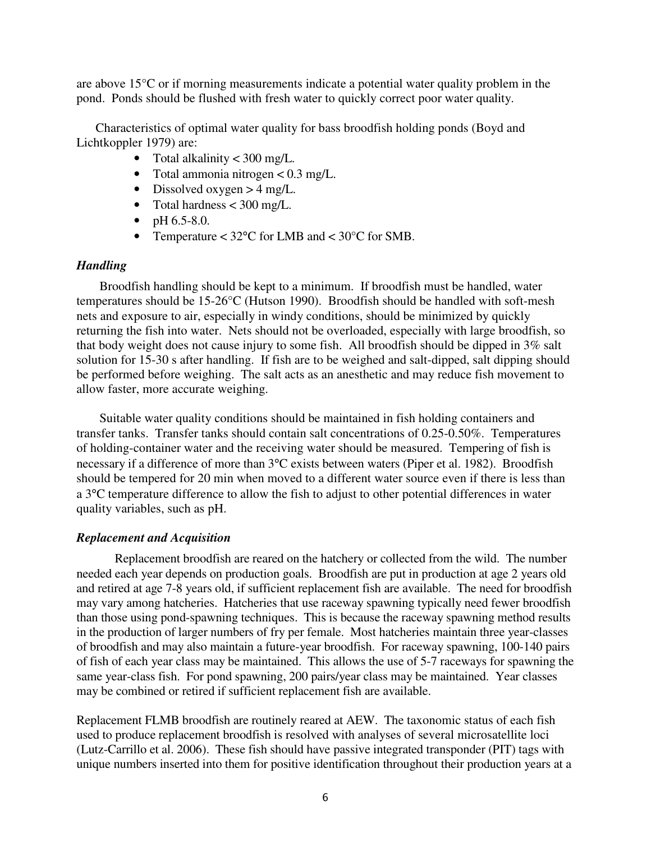are above 15°C or if morning measurements indicate a potential water quality problem in the pond. Ponds should be flushed with fresh water to quickly correct poor water quality.

Characteristics of optimal water quality for bass broodfish holding ponds (Boyd and Lichtkoppler 1979) are:

- Total alkalinity  $<$  300 mg/L.
- Total ammonia nitrogen < 0.3 mg/L.
- Dissolved oxygen  $>$  4 mg/L.
- Total hardness < 300 mg/L.
- pH  $6.5-8.0$ .
- Temperature  $<$  32°C for LMB and  $<$  30°C for SMB.

# *Handling*

Broodfish handling should be kept to a minimum. If broodfish must be handled, water temperatures should be 15-26°C (Hutson 1990). Broodfish should be handled with soft-mesh nets and exposure to air, especially in windy conditions, should be minimized by quickly returning the fish into water. Nets should not be overloaded, especially with large broodfish, so that body weight does not cause injury to some fish. All broodfish should be dipped in 3% salt solution for 15-30 s after handling. If fish are to be weighed and salt-dipped, salt dipping should be performed before weighing. The salt acts as an anesthetic and may reduce fish movement to allow faster, more accurate weighing.

Suitable water quality conditions should be maintained in fish holding containers and transfer tanks. Transfer tanks should contain salt concentrations of 0.25-0.50%. Temperatures of holding-container water and the receiving water should be measured. Tempering of fish is necessary if a difference of more than 3°C exists between waters (Piper et al. 1982). Broodfish should be tempered for 20 min when moved to a different water source even if there is less than a 3°C temperature difference to allow the fish to adjust to other potential differences in water quality variables, such as pH.

# *Replacement and Acquisition*

Replacement broodfish are reared on the hatchery or collected from the wild. The number needed each year depends on production goals. Broodfish are put in production at age 2 years old and retired at age 7-8 years old, if sufficient replacement fish are available. The need for broodfish may vary among hatcheries. Hatcheries that use raceway spawning typically need fewer broodfish than those using pond-spawning techniques. This is because the raceway spawning method results in the production of larger numbers of fry per female. Most hatcheries maintain three year-classes of broodfish and may also maintain a future-year broodfish. For raceway spawning, 100-140 pairs of fish of each year class may be maintained. This allows the use of 5-7 raceways for spawning the same year-class fish. For pond spawning, 200 pairs/year class may be maintained. Year classes may be combined or retired if sufficient replacement fish are available.

Replacement FLMB broodfish are routinely reared at AEW. The taxonomic status of each fish used to produce replacement broodfish is resolved with analyses of several microsatellite loci (Lutz-Carrillo et al. 2006). These fish should have passive integrated transponder (PIT) tags with unique numbers inserted into them for positive identification throughout their production years at a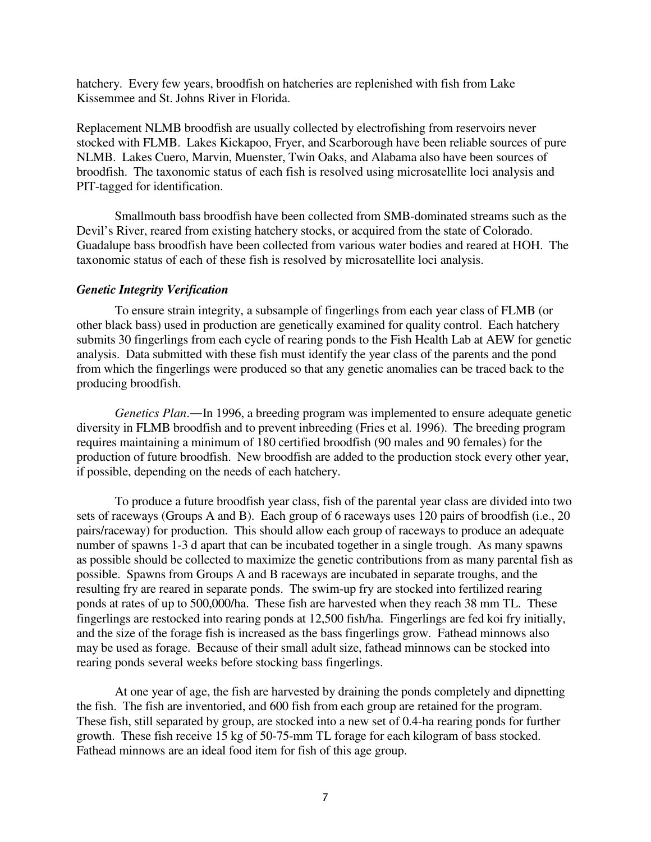hatchery. Every few years, broodfish on hatcheries are replenished with fish from Lake Kissemmee and St. Johns River in Florida.

Replacement NLMB broodfish are usually collected by electrofishing from reservoirs never stocked with FLMB. Lakes Kickapoo, Fryer, and Scarborough have been reliable sources of pure NLMB. Lakes Cuero, Marvin, Muenster, Twin Oaks, and Alabama also have been sources of broodfish. The taxonomic status of each fish is resolved using microsatellite loci analysis and PIT-tagged for identification.

Smallmouth bass broodfish have been collected from SMB-dominated streams such as the Devil's River, reared from existing hatchery stocks, or acquired from the state of Colorado. Guadalupe bass broodfish have been collected from various water bodies and reared at HOH. The taxonomic status of each of these fish is resolved by microsatellite loci analysis.

# *Genetic Integrity Verification*

To ensure strain integrity, a subsample of fingerlings from each year class of FLMB (or other black bass) used in production are genetically examined for quality control. Each hatchery submits 30 fingerlings from each cycle of rearing ponds to the Fish Health Lab at AEW for genetic analysis. Data submitted with these fish must identify the year class of the parents and the pond from which the fingerlings were produced so that any genetic anomalies can be traced back to the producing broodfish.

*Genetics Plan*.―In 1996, a breeding program was implemented to ensure adequate genetic diversity in FLMB broodfish and to prevent inbreeding (Fries et al. 1996). The breeding program requires maintaining a minimum of 180 certified broodfish (90 males and 90 females) for the production of future broodfish. New broodfish are added to the production stock every other year, if possible, depending on the needs of each hatchery.

To produce a future broodfish year class, fish of the parental year class are divided into two sets of raceways (Groups A and B). Each group of 6 raceways uses 120 pairs of broodfish (i.e., 20 pairs/raceway) for production. This should allow each group of raceways to produce an adequate number of spawns 1-3 d apart that can be incubated together in a single trough. As many spawns as possible should be collected to maximize the genetic contributions from as many parental fish as possible. Spawns from Groups A and B raceways are incubated in separate troughs, and the resulting fry are reared in separate ponds. The swim-up fry are stocked into fertilized rearing ponds at rates of up to 500,000/ha. These fish are harvested when they reach 38 mm TL. These fingerlings are restocked into rearing ponds at 12,500 fish/ha. Fingerlings are fed koi fry initially, and the size of the forage fish is increased as the bass fingerlings grow. Fathead minnows also may be used as forage. Because of their small adult size, fathead minnows can be stocked into rearing ponds several weeks before stocking bass fingerlings.

At one year of age, the fish are harvested by draining the ponds completely and dipnetting the fish. The fish are inventoried, and 600 fish from each group are retained for the program. These fish, still separated by group, are stocked into a new set of 0.4-ha rearing ponds for further growth. These fish receive 15 kg of 50-75-mm TL forage for each kilogram of bass stocked. Fathead minnows are an ideal food item for fish of this age group.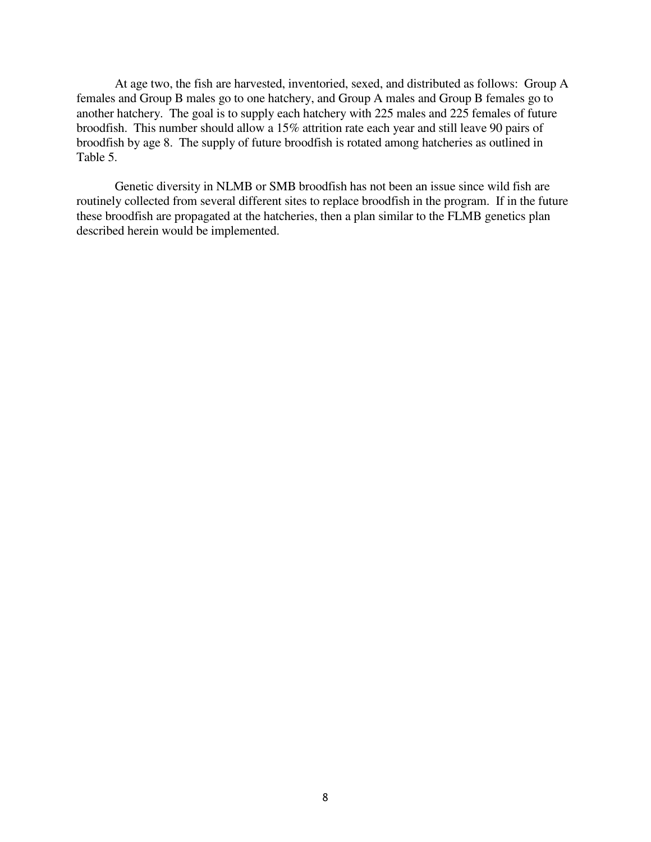At age two, the fish are harvested, inventoried, sexed, and distributed as follows: Group A females and Group B males go to one hatchery, and Group A males and Group B females go to another hatchery. The goal is to supply each hatchery with 225 males and 225 females of future broodfish. This number should allow a 15% attrition rate each year and still leave 90 pairs of broodfish by age 8. The supply of future broodfish is rotated among hatcheries as outlined in Table 5.

Genetic diversity in NLMB or SMB broodfish has not been an issue since wild fish are routinely collected from several different sites to replace broodfish in the program. If in the future these broodfish are propagated at the hatcheries, then a plan similar to the FLMB genetics plan described herein would be implemented.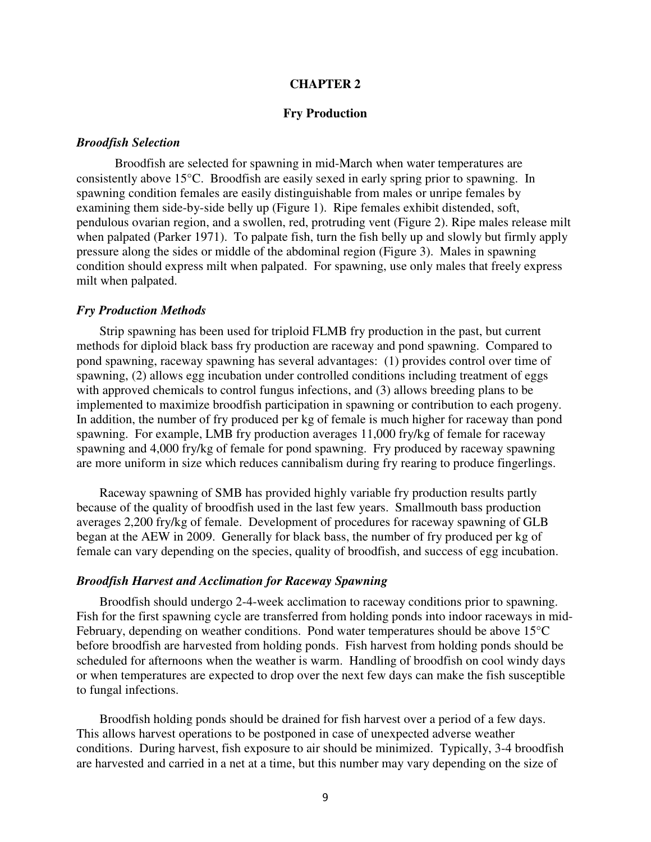#### **CHAPTER 2**

#### **Fry Production**

#### *Broodfish Selection*

Broodfish are selected for spawning in mid-March when water temperatures are consistently above 15°C. Broodfish are easily sexed in early spring prior to spawning. In spawning condition females are easily distinguishable from males or unripe females by examining them side-by-side belly up (Figure 1). Ripe females exhibit distended, soft, pendulous ovarian region, and a swollen, red, protruding vent (Figure 2). Ripe males release milt when palpated (Parker 1971). To palpate fish, turn the fish belly up and slowly but firmly apply pressure along the sides or middle of the abdominal region (Figure 3). Males in spawning condition should express milt when palpated. For spawning, use only males that freely express milt when palpated.

#### *Fry Production Methods*

Strip spawning has been used for triploid FLMB fry production in the past, but current methods for diploid black bass fry production are raceway and pond spawning. Compared to pond spawning, raceway spawning has several advantages: (1) provides control over time of spawning, (2) allows egg incubation under controlled conditions including treatment of eggs with approved chemicals to control fungus infections, and (3) allows breeding plans to be implemented to maximize broodfish participation in spawning or contribution to each progeny. In addition, the number of fry produced per kg of female is much higher for raceway than pond spawning. For example, LMB fry production averages 11,000 fry/kg of female for raceway spawning and 4,000 fry/kg of female for pond spawning. Fry produced by raceway spawning are more uniform in size which reduces cannibalism during fry rearing to produce fingerlings.

Raceway spawning of SMB has provided highly variable fry production results partly because of the quality of broodfish used in the last few years. Smallmouth bass production averages 2,200 fry/kg of female. Development of procedures for raceway spawning of GLB began at the AEW in 2009. Generally for black bass, the number of fry produced per kg of female can vary depending on the species, quality of broodfish, and success of egg incubation.

#### *Broodfish Harvest and Acclimation for Raceway Spawning*

Broodfish should undergo 2-4-week acclimation to raceway conditions prior to spawning. Fish for the first spawning cycle are transferred from holding ponds into indoor raceways in mid-February, depending on weather conditions. Pond water temperatures should be above 15°C before broodfish are harvested from holding ponds. Fish harvest from holding ponds should be scheduled for afternoons when the weather is warm. Handling of broodfish on cool windy days or when temperatures are expected to drop over the next few days can make the fish susceptible to fungal infections.

Broodfish holding ponds should be drained for fish harvest over a period of a few days. This allows harvest operations to be postponed in case of unexpected adverse weather conditions. During harvest, fish exposure to air should be minimized. Typically, 3-4 broodfish are harvested and carried in a net at a time, but this number may vary depending on the size of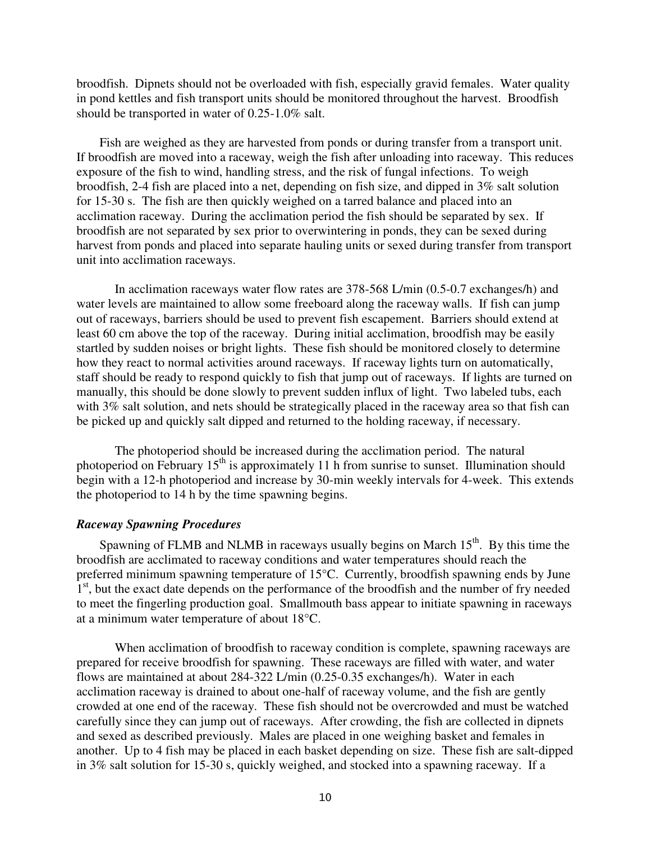broodfish. Dipnets should not be overloaded with fish, especially gravid females. Water quality in pond kettles and fish transport units should be monitored throughout the harvest. Broodfish should be transported in water of 0.25-1.0% salt.

Fish are weighed as they are harvested from ponds or during transfer from a transport unit. If broodfish are moved into a raceway, weigh the fish after unloading into raceway. This reduces exposure of the fish to wind, handling stress, and the risk of fungal infections. To weigh broodfish, 2-4 fish are placed into a net, depending on fish size, and dipped in 3% salt solution for 15-30 s. The fish are then quickly weighed on a tarred balance and placed into an acclimation raceway. During the acclimation period the fish should be separated by sex. If broodfish are not separated by sex prior to overwintering in ponds, they can be sexed during harvest from ponds and placed into separate hauling units or sexed during transfer from transport unit into acclimation raceways.

In acclimation raceways water flow rates are 378-568 L/min (0.5-0.7 exchanges/h) and water levels are maintained to allow some freeboard along the raceway walls. If fish can jump out of raceways, barriers should be used to prevent fish escapement. Barriers should extend at least 60 cm above the top of the raceway. During initial acclimation, broodfish may be easily startled by sudden noises or bright lights. These fish should be monitored closely to determine how they react to normal activities around raceways. If raceway lights turn on automatically, staff should be ready to respond quickly to fish that jump out of raceways. If lights are turned on manually, this should be done slowly to prevent sudden influx of light. Two labeled tubs, each with 3% salt solution, and nets should be strategically placed in the raceway area so that fish can be picked up and quickly salt dipped and returned to the holding raceway, if necessary.

The photoperiod should be increased during the acclimation period. The natural photoperiod on February  $15<sup>th</sup>$  is approximately 11 h from sunrise to sunset. Illumination should begin with a 12-h photoperiod and increase by 30-min weekly intervals for 4-week. This extends the photoperiod to 14 h by the time spawning begins.

#### *Raceway Spawning Procedures*

Spawning of FLMB and NLMB in raceways usually begins on March  $15<sup>th</sup>$ . By this time the broodfish are acclimated to raceway conditions and water temperatures should reach the preferred minimum spawning temperature of 15°C. Currently, broodfish spawning ends by June 1<sup>st</sup>, but the exact date depends on the performance of the broodfish and the number of fry needed to meet the fingerling production goal. Smallmouth bass appear to initiate spawning in raceways at a minimum water temperature of about 18°C.

When acclimation of broodfish to raceway condition is complete, spawning raceways are prepared for receive broodfish for spawning. These raceways are filled with water, and water flows are maintained at about 284-322 L/min (0.25-0.35 exchanges/h). Water in each acclimation raceway is drained to about one-half of raceway volume, and the fish are gently crowded at one end of the raceway. These fish should not be overcrowded and must be watched carefully since they can jump out of raceways. After crowding, the fish are collected in dipnets and sexed as described previously. Males are placed in one weighing basket and females in another. Up to 4 fish may be placed in each basket depending on size. These fish are salt-dipped in 3% salt solution for 15-30 s, quickly weighed, and stocked into a spawning raceway. If a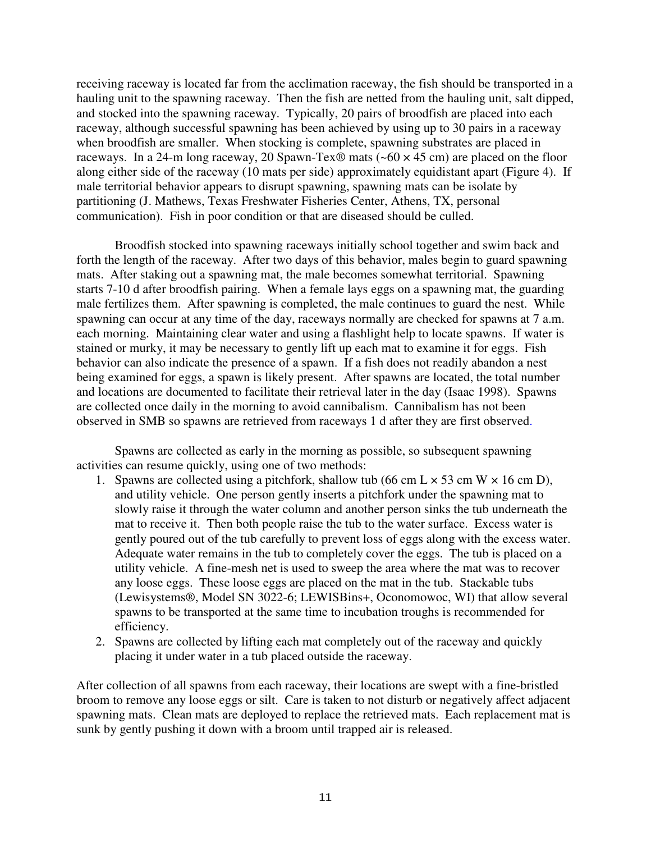receiving raceway is located far from the acclimation raceway, the fish should be transported in a hauling unit to the spawning raceway. Then the fish are netted from the hauling unit, salt dipped, and stocked into the spawning raceway. Typically, 20 pairs of broodfish are placed into each raceway, although successful spawning has been achieved by using up to 30 pairs in a raceway when broodfish are smaller. When stocking is complete, spawning substrates are placed in raceways. In a 24-m long raceway, 20 Spawn-Tex® mats  $(-60 \times 45 \text{ cm})$  are placed on the floor along either side of the raceway (10 mats per side) approximately equidistant apart (Figure 4). If male territorial behavior appears to disrupt spawning, spawning mats can be isolate by partitioning (J. Mathews, Texas Freshwater Fisheries Center, Athens, TX, personal communication). Fish in poor condition or that are diseased should be culled.

Broodfish stocked into spawning raceways initially school together and swim back and forth the length of the raceway. After two days of this behavior, males begin to guard spawning mats. After staking out a spawning mat, the male becomes somewhat territorial. Spawning starts 7-10 d after broodfish pairing. When a female lays eggs on a spawning mat, the guarding male fertilizes them. After spawning is completed, the male continues to guard the nest. While spawning can occur at any time of the day, raceways normally are checked for spawns at 7 a.m. each morning. Maintaining clear water and using a flashlight help to locate spawns. If water is stained or murky, it may be necessary to gently lift up each mat to examine it for eggs. Fish behavior can also indicate the presence of a spawn. If a fish does not readily abandon a nest being examined for eggs, a spawn is likely present. After spawns are located, the total number and locations are documented to facilitate their retrieval later in the day (Isaac 1998). Spawns are collected once daily in the morning to avoid cannibalism. Cannibalism has not been observed in SMB so spawns are retrieved from raceways 1 d after they are first observed.

Spawns are collected as early in the morning as possible, so subsequent spawning activities can resume quickly, using one of two methods:

- 1. Spawns are collected using a pitchfork, shallow tub (66 cm  $L \times 53$  cm W  $\times$  16 cm D), and utility vehicle. One person gently inserts a pitchfork under the spawning mat to slowly raise it through the water column and another person sinks the tub underneath the mat to receive it. Then both people raise the tub to the water surface. Excess water is gently poured out of the tub carefully to prevent loss of eggs along with the excess water. Adequate water remains in the tub to completely cover the eggs. The tub is placed on a utility vehicle. A fine-mesh net is used to sweep the area where the mat was to recover any loose eggs. These loose eggs are placed on the mat in the tub. Stackable tubs (Lewisystems®, Model SN 3022-6; LEWISBins+, Oconomowoc, WI) that allow several spawns to be transported at the same time to incubation troughs is recommended for efficiency.
- 2. Spawns are collected by lifting each mat completely out of the raceway and quickly placing it under water in a tub placed outside the raceway.

After collection of all spawns from each raceway, their locations are swept with a fine-bristled broom to remove any loose eggs or silt. Care is taken to not disturb or negatively affect adjacent spawning mats. Clean mats are deployed to replace the retrieved mats. Each replacement mat is sunk by gently pushing it down with a broom until trapped air is released.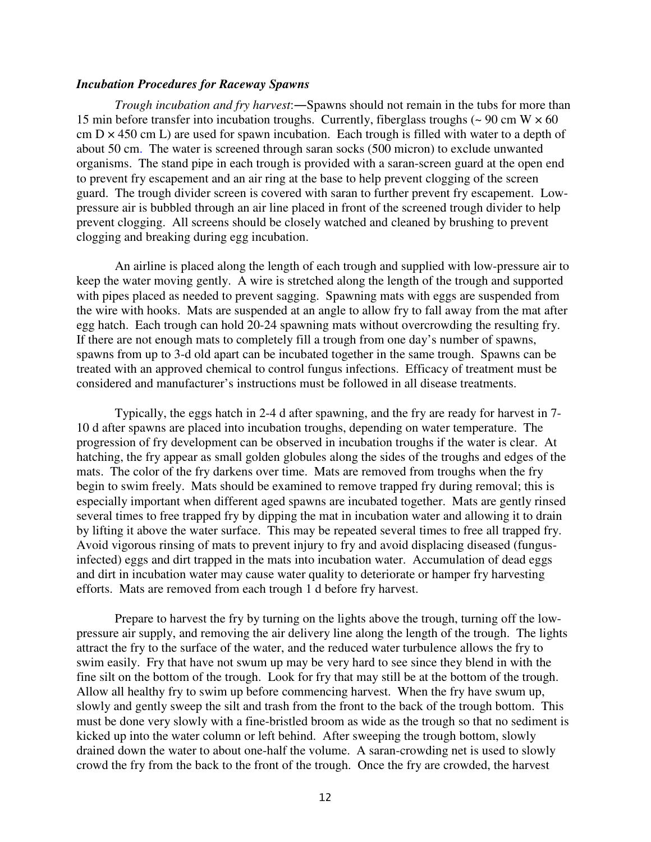# *Incubation Procedures for Raceway Spawns*

*Trough incubation and fry harvest*:―Spawns should not remain in the tubs for more than 15 min before transfer into incubation troughs. Currently, fiberglass troughs  $\sim 90 \text{ cm W} \times 60$ cm  $D \times 450$  cm L) are used for spawn incubation. Each trough is filled with water to a depth of about 50 cm. The water is screened through saran socks (500 micron) to exclude unwanted organisms. The stand pipe in each trough is provided with a saran-screen guard at the open end to prevent fry escapement and an air ring at the base to help prevent clogging of the screen guard. The trough divider screen is covered with saran to further prevent fry escapement. Lowpressure air is bubbled through an air line placed in front of the screened trough divider to help prevent clogging. All screens should be closely watched and cleaned by brushing to prevent clogging and breaking during egg incubation.

An airline is placed along the length of each trough and supplied with low-pressure air to keep the water moving gently. A wire is stretched along the length of the trough and supported with pipes placed as needed to prevent sagging. Spawning mats with eggs are suspended from the wire with hooks. Mats are suspended at an angle to allow fry to fall away from the mat after egg hatch. Each trough can hold 20-24 spawning mats without overcrowding the resulting fry. If there are not enough mats to completely fill a trough from one day's number of spawns, spawns from up to 3-d old apart can be incubated together in the same trough. Spawns can be treated with an approved chemical to control fungus infections. Efficacy of treatment must be considered and manufacturer's instructions must be followed in all disease treatments.

Typically, the eggs hatch in 2-4 d after spawning, and the fry are ready for harvest in 7- 10 d after spawns are placed into incubation troughs, depending on water temperature. The progression of fry development can be observed in incubation troughs if the water is clear. At hatching, the fry appear as small golden globules along the sides of the troughs and edges of the mats. The color of the fry darkens over time. Mats are removed from troughs when the fry begin to swim freely. Mats should be examined to remove trapped fry during removal; this is especially important when different aged spawns are incubated together. Mats are gently rinsed several times to free trapped fry by dipping the mat in incubation water and allowing it to drain by lifting it above the water surface. This may be repeated several times to free all trapped fry. Avoid vigorous rinsing of mats to prevent injury to fry and avoid displacing diseased (fungusinfected) eggs and dirt trapped in the mats into incubation water. Accumulation of dead eggs and dirt in incubation water may cause water quality to deteriorate or hamper fry harvesting efforts. Mats are removed from each trough 1 d before fry harvest.

Prepare to harvest the fry by turning on the lights above the trough, turning off the lowpressure air supply, and removing the air delivery line along the length of the trough. The lights attract the fry to the surface of the water, and the reduced water turbulence allows the fry to swim easily. Fry that have not swum up may be very hard to see since they blend in with the fine silt on the bottom of the trough. Look for fry that may still be at the bottom of the trough. Allow all healthy fry to swim up before commencing harvest. When the fry have swum up, slowly and gently sweep the silt and trash from the front to the back of the trough bottom. This must be done very slowly with a fine-bristled broom as wide as the trough so that no sediment is kicked up into the water column or left behind. After sweeping the trough bottom, slowly drained down the water to about one-half the volume. A saran-crowding net is used to slowly crowd the fry from the back to the front of the trough. Once the fry are crowded, the harvest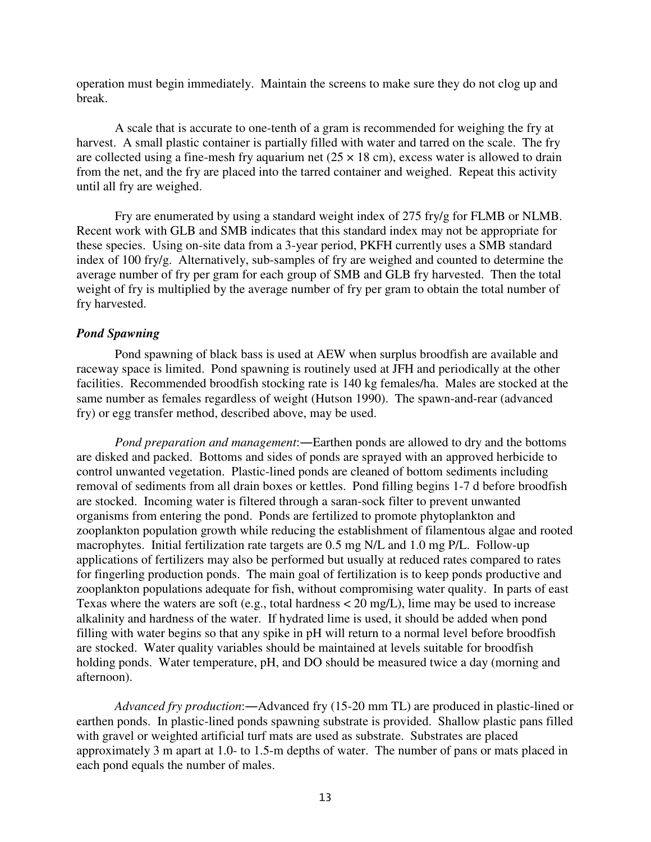operation must begin immediately. Maintain the screens to make sure they do not clog up and break.

A scale that is accurate to one-tenth of a gram is recommended for weighing the fry at harvest. A small plastic container is partially filled with water and tarred on the scale. The fry are collected using a fine-mesh fry aquarium net  $(25 \times 18 \text{ cm})$ , excess water is allowed to drain from the net, and the fry are placed into the tarred container and weighed. Repeat this activity until all fry are weighed.

Fry are enumerated by using a standard weight index of 275 fry/g for FLMB or NLMB. Recent work with GLB and SMB indicates that this standard index may not be appropriate for these species. Using on-site data from a 3-year period, PKFH currently uses a SMB standard index of 100 fry/g. Alternatively, sub-samples of fry are weighed and counted to determine the average number of fry per gram for each group of SMB and GLB fry harvested. Then the total weight of fry is multiplied by the average number of fry per gram to obtain the total number of fry harvested.

#### *Pond Spawning*

Pond spawning of black bass is used at AEW when surplus broodfish are available and raceway space is limited. Pond spawning is routinely used at JFH and periodically at the other facilities. Recommended broodfish stocking rate is 140 kg females/ha. Males are stocked at the same number as females regardless of weight (Hutson 1990). The spawn-and-rear (advanced fry) or egg transfer method, described above, may be used.

*Pond preparation and management*:―Earthen ponds are allowed to dry and the bottoms are disked and packed. Bottoms and sides of ponds are sprayed with an approved herbicide to control unwanted vegetation. Plastic-lined ponds are cleaned of bottom sediments including removal of sediments from all drain boxes or kettles. Pond filling begins 1-7 d before broodfish are stocked. Incoming water is filtered through a saran-sock filter to prevent unwanted organisms from entering the pond. Ponds are fertilized to promote phytoplankton and zooplankton population growth while reducing the establishment of filamentous algae and rooted macrophytes. Initial fertilization rate targets are 0.5 mg N/L and 1.0 mg P/L. Follow-up applications of fertilizers may also be performed but usually at reduced rates compared to rates for fingerling production ponds. The main goal of fertilization is to keep ponds productive and zooplankton populations adequate for fish, without compromising water quality. In parts of east Texas where the waters are soft (e.g., total hardness  $\lt 20$  mg/L), lime may be used to increase alkalinity and hardness of the water. If hydrated lime is used, it should be added when pond filling with water begins so that any spike in pH will return to a normal level before broodfish are stocked. Water quality variables should be maintained at levels suitable for broodfish holding ponds. Water temperature, pH, and DO should be measured twice a day (morning and afternoon).

*Advanced fry production*:―Advanced fry (15-20 mm TL) are produced in plastic-lined or earthen ponds. In plastic-lined ponds spawning substrate is provided. Shallow plastic pans filled with gravel or weighted artificial turf mats are used as substrate. Substrates are placed approximately 3 m apart at 1.0- to 1.5-m depths of water. The number of pans or mats placed in each pond equals the number of males.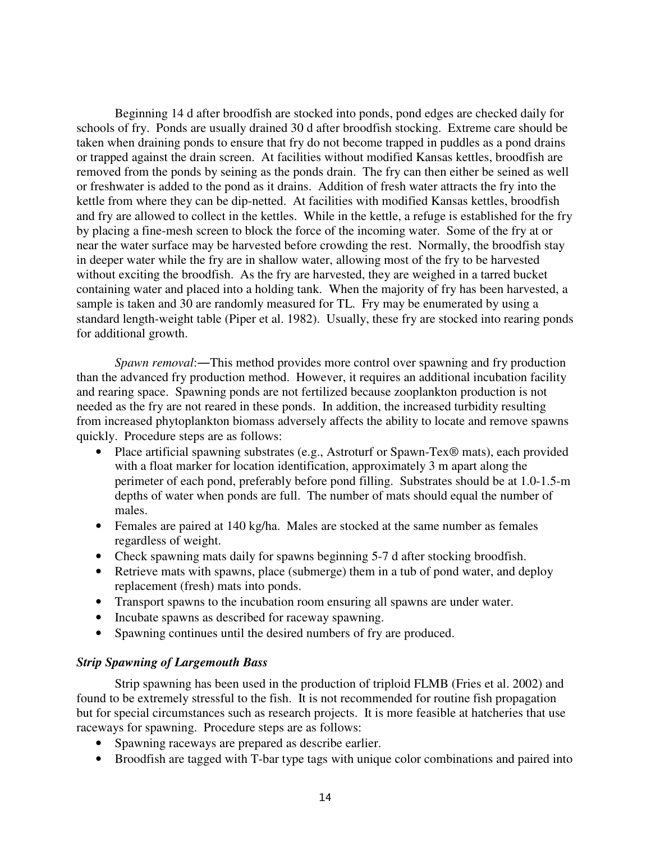Beginning 14 d after broodfish are stocked into ponds, pond edges are checked daily for schools of fry. Ponds are usually drained 30 d after broodfish stocking. Extreme care should be taken when draining ponds to ensure that fry do not become trapped in puddles as a pond drains or trapped against the drain screen. At facilities without modified Kansas kettles, broodfish are removed from the ponds by seining as the ponds drain. The fry can then either be seined as well or freshwater is added to the pond as it drains. Addition of fresh water attracts the fry into the kettle from where they can be dip-netted. At facilities with modified Kansas kettles, broodfish and fry are allowed to collect in the kettles. While in the kettle, a refuge is established for the fry by placing a fine-mesh screen to block the force of the incoming water. Some of the fry at or near the water surface may be harvested before crowding the rest. Normally, the broodfish stay in deeper water while the fry are in shallow water, allowing most of the fry to be harvested without exciting the broodfish. As the fry are harvested, they are weighed in a tarred bucket containing water and placed into a holding tank. When the majority of fry has been harvested, a sample is taken and 30 are randomly measured for TL. Fry may be enumerated by using a standard length-weight table (Piper et al. 1982). Usually, these fry are stocked into rearing ponds for additional growth.

*Spawn removal*:―This method provides more control over spawning and fry production than the advanced fry production method. However, it requires an additional incubation facility and rearing space. Spawning ponds are not fertilized because zooplankton production is not needed as the fry are not reared in these ponds. In addition, the increased turbidity resulting from increased phytoplankton biomass adversely affects the ability to locate and remove spawns quickly. Procedure steps are as follows:

- Place artificial spawning substrates (e.g., Astroturf or Spawn-Tex® mats), each provided with a float marker for location identification, approximately 3 m apart along the perimeter of each pond, preferably before pond filling. Substrates should be at 1.0-1.5-m depths of water when ponds are full. The number of mats should equal the number of males.
- Females are paired at 140 kg/ha. Males are stocked at the same number as females regardless of weight.
- Check spawning mats daily for spawns beginning 5-7 d after stocking broodfish.
- Retrieve mats with spawns, place (submerge) them in a tub of pond water, and deploy replacement (fresh) mats into ponds.
- Transport spawns to the incubation room ensuring all spawns are under water.
- Incubate spawns as described for raceway spawning.
- Spawning continues until the desired numbers of fry are produced.

# *Strip Spawning of Largemouth Bass*

Strip spawning has been used in the production of triploid FLMB (Fries et al. 2002) and found to be extremely stressful to the fish. It is not recommended for routine fish propagation but for special circumstances such as research projects. It is more feasible at hatcheries that use raceways for spawning. Procedure steps are as follows:

- Spawning raceways are prepared as describe earlier.
- Broodfish are tagged with T-bar type tags with unique color combinations and paired into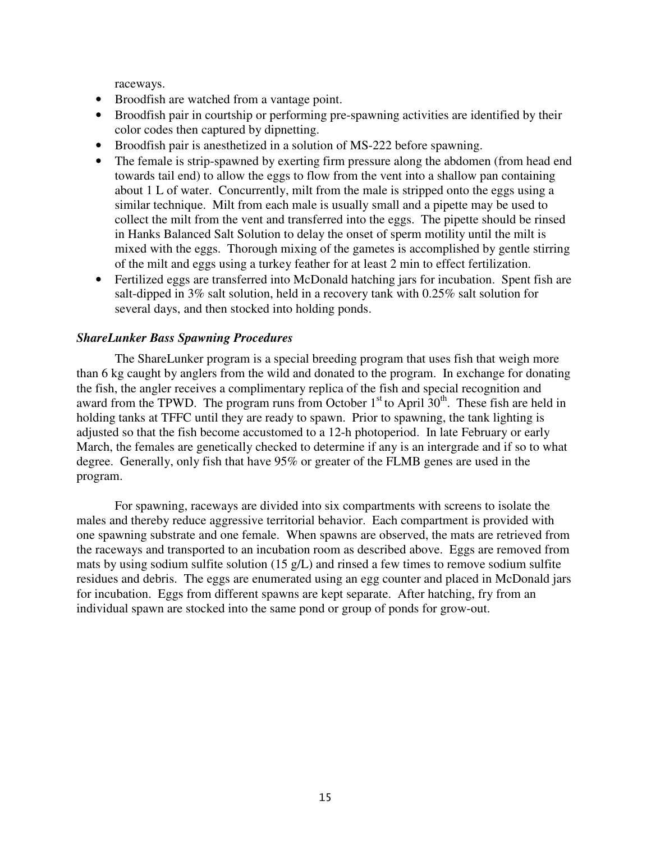raceways.

- Broodfish are watched from a vantage point.
- Broodfish pair in courtship or performing pre-spawning activities are identified by their color codes then captured by dipnetting.
- Broodfish pair is anesthetized in a solution of MS-222 before spawning.
- The female is strip-spawned by exerting firm pressure along the abdomen (from head end towards tail end) to allow the eggs to flow from the vent into a shallow pan containing about 1 L of water. Concurrently, milt from the male is stripped onto the eggs using a similar technique. Milt from each male is usually small and a pipette may be used to collect the milt from the vent and transferred into the eggs. The pipette should be rinsed in Hanks Balanced Salt Solution to delay the onset of sperm motility until the milt is mixed with the eggs. Thorough mixing of the gametes is accomplished by gentle stirring of the milt and eggs using a turkey feather for at least 2 min to effect fertilization.
- Fertilized eggs are transferred into McDonald hatching jars for incubation. Spent fish are salt-dipped in 3% salt solution, held in a recovery tank with 0.25% salt solution for several days, and then stocked into holding ponds.

# *ShareLunker Bass Spawning Procedures*

The ShareLunker program is a special breeding program that uses fish that weigh more than 6 kg caught by anglers from the wild and donated to the program. In exchange for donating the fish, the angler receives a complimentary replica of the fish and special recognition and award from the TPWD. The program runs from October  $1<sup>st</sup>$  to April 30<sup>th</sup>. These fish are held in holding tanks at TFFC until they are ready to spawn. Prior to spawning, the tank lighting is adjusted so that the fish become accustomed to a 12-h photoperiod. In late February or early March, the females are genetically checked to determine if any is an intergrade and if so to what degree. Generally, only fish that have 95% or greater of the FLMB genes are used in the program.

For spawning, raceways are divided into six compartments with screens to isolate the males and thereby reduce aggressive territorial behavior. Each compartment is provided with one spawning substrate and one female. When spawns are observed, the mats are retrieved from the raceways and transported to an incubation room as described above. Eggs are removed from mats by using sodium sulfite solution (15 g/L) and rinsed a few times to remove sodium sulfite residues and debris. The eggs are enumerated using an egg counter and placed in McDonald jars for incubation. Eggs from different spawns are kept separate. After hatching, fry from an individual spawn are stocked into the same pond or group of ponds for grow-out.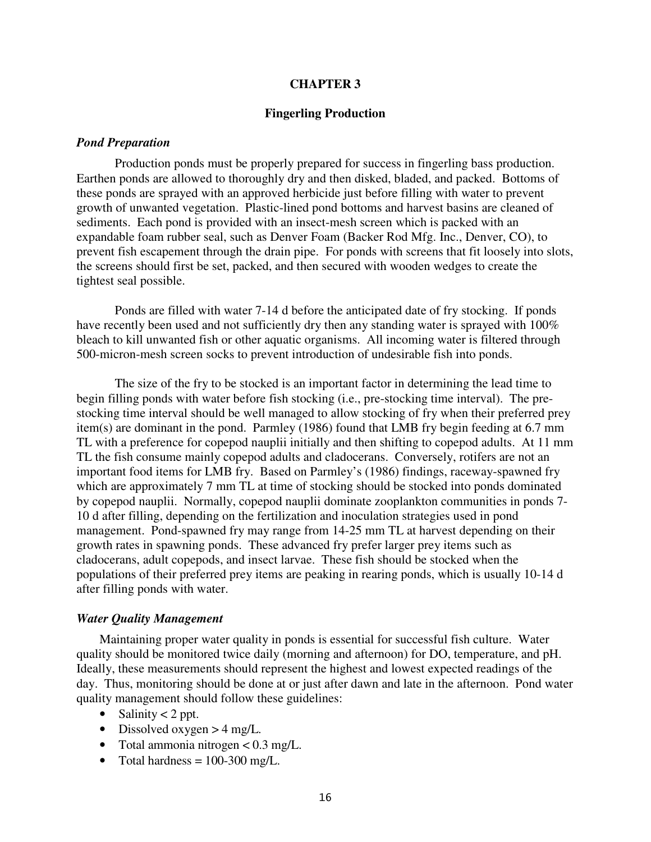### **CHAPTER 3**

#### **Fingerling Production**

#### *Pond Preparation*

Production ponds must be properly prepared for success in fingerling bass production. Earthen ponds are allowed to thoroughly dry and then disked, bladed, and packed. Bottoms of these ponds are sprayed with an approved herbicide just before filling with water to prevent growth of unwanted vegetation. Plastic-lined pond bottoms and harvest basins are cleaned of sediments. Each pond is provided with an insect-mesh screen which is packed with an expandable foam rubber seal, such as Denver Foam (Backer Rod Mfg. Inc., Denver, CO), to prevent fish escapement through the drain pipe. For ponds with screens that fit loosely into slots, the screens should first be set, packed, and then secured with wooden wedges to create the tightest seal possible.

Ponds are filled with water 7-14 d before the anticipated date of fry stocking. If ponds have recently been used and not sufficiently dry then any standing water is sprayed with 100% bleach to kill unwanted fish or other aquatic organisms. All incoming water is filtered through 500-micron-mesh screen socks to prevent introduction of undesirable fish into ponds.

The size of the fry to be stocked is an important factor in determining the lead time to begin filling ponds with water before fish stocking (i.e., pre-stocking time interval). The prestocking time interval should be well managed to allow stocking of fry when their preferred prey item(s) are dominant in the pond. Parmley (1986) found that LMB fry begin feeding at 6.7 mm TL with a preference for copepod nauplii initially and then shifting to copepod adults. At 11 mm TL the fish consume mainly copepod adults and cladocerans. Conversely, rotifers are not an important food items for LMB fry. Based on Parmley's (1986) findings, raceway-spawned fry which are approximately 7 mm TL at time of stocking should be stocked into ponds dominated by copepod nauplii. Normally, copepod nauplii dominate zooplankton communities in ponds 7- 10 d after filling, depending on the fertilization and inoculation strategies used in pond management. Pond-spawned fry may range from 14-25 mm TL at harvest depending on their growth rates in spawning ponds. These advanced fry prefer larger prey items such as cladocerans, adult copepods, and insect larvae. These fish should be stocked when the populations of their preferred prey items are peaking in rearing ponds, which is usually 10-14 d after filling ponds with water.

#### *Water Quality Management*

 Maintaining proper water quality in ponds is essential for successful fish culture. Water quality should be monitored twice daily (morning and afternoon) for DO, temperature, and pH. Ideally, these measurements should represent the highest and lowest expected readings of the day. Thus, monitoring should be done at or just after dawn and late in the afternoon. Pond water quality management should follow these guidelines:

- Salinity  $< 2$  ppt.
- Dissolved oxygen  $>$  4 mg/L.
- Total ammonia nitrogen  $< 0.3$  mg/L.
- Total hardness  $= 100-300$  mg/L.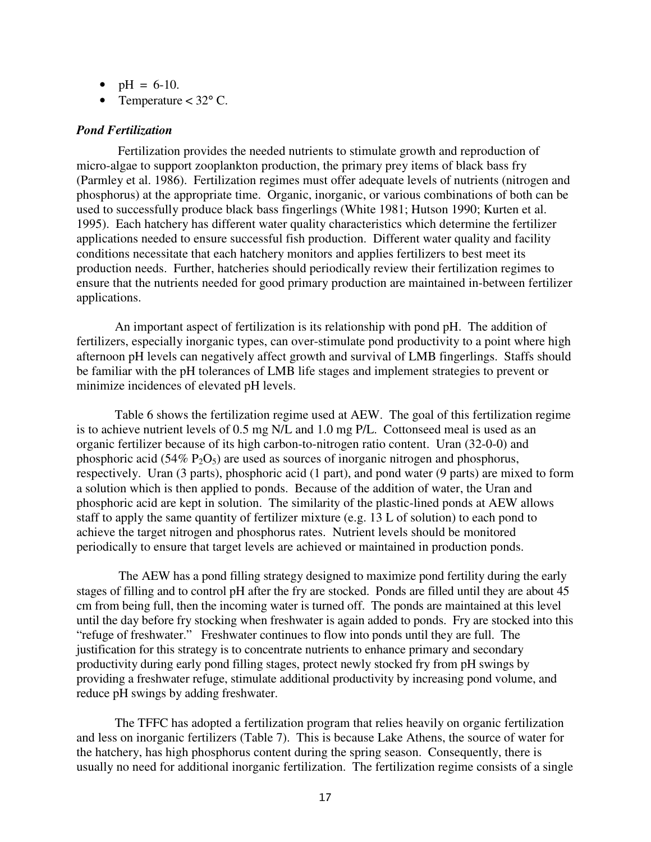•  $pH = 6-10$ .

• Temperature  $<$  32 $\degree$  C.

# *Pond Fertilization*

 Fertilization provides the needed nutrients to stimulate growth and reproduction of micro-algae to support zooplankton production, the primary prey items of black bass fry (Parmley et al. 1986). Fertilization regimes must offer adequate levels of nutrients (nitrogen and phosphorus) at the appropriate time. Organic, inorganic, or various combinations of both can be used to successfully produce black bass fingerlings (White 1981; Hutson 1990; Kurten et al. 1995). Each hatchery has different water quality characteristics which determine the fertilizer applications needed to ensure successful fish production. Different water quality and facility conditions necessitate that each hatchery monitors and applies fertilizers to best meet its production needs. Further, hatcheries should periodically review their fertilization regimes to ensure that the nutrients needed for good primary production are maintained in-between fertilizer applications.

An important aspect of fertilization is its relationship with pond pH. The addition of fertilizers, especially inorganic types, can over-stimulate pond productivity to a point where high afternoon pH levels can negatively affect growth and survival of LMB fingerlings. Staffs should be familiar with the pH tolerances of LMB life stages and implement strategies to prevent or minimize incidences of elevated pH levels.

Table 6 shows the fertilization regime used at AEW. The goal of this fertilization regime is to achieve nutrient levels of 0.5 mg N/L and 1.0 mg P/L. Cottonseed meal is used as an organic fertilizer because of its high carbon-to-nitrogen ratio content. Uran (32-0-0) and phosphoric acid (54%  $P_2O_5$ ) are used as sources of inorganic nitrogen and phosphorus, respectively. Uran (3 parts), phosphoric acid (1 part), and pond water (9 parts) are mixed to form a solution which is then applied to ponds. Because of the addition of water, the Uran and phosphoric acid are kept in solution. The similarity of the plastic-lined ponds at AEW allows staff to apply the same quantity of fertilizer mixture (e.g. 13 L of solution) to each pond to achieve the target nitrogen and phosphorus rates. Nutrient levels should be monitored periodically to ensure that target levels are achieved or maintained in production ponds.

 The AEW has a pond filling strategy designed to maximize pond fertility during the early stages of filling and to control pH after the fry are stocked. Ponds are filled until they are about 45 cm from being full, then the incoming water is turned off. The ponds are maintained at this level until the day before fry stocking when freshwater is again added to ponds. Fry are stocked into this "refuge of freshwater." Freshwater continues to flow into ponds until they are full. The justification for this strategy is to concentrate nutrients to enhance primary and secondary productivity during early pond filling stages, protect newly stocked fry from pH swings by providing a freshwater refuge, stimulate additional productivity by increasing pond volume, and reduce pH swings by adding freshwater.

 The TFFC has adopted a fertilization program that relies heavily on organic fertilization and less on inorganic fertilizers (Table 7). This is because Lake Athens, the source of water for the hatchery, has high phosphorus content during the spring season. Consequently, there is usually no need for additional inorganic fertilization. The fertilization regime consists of a single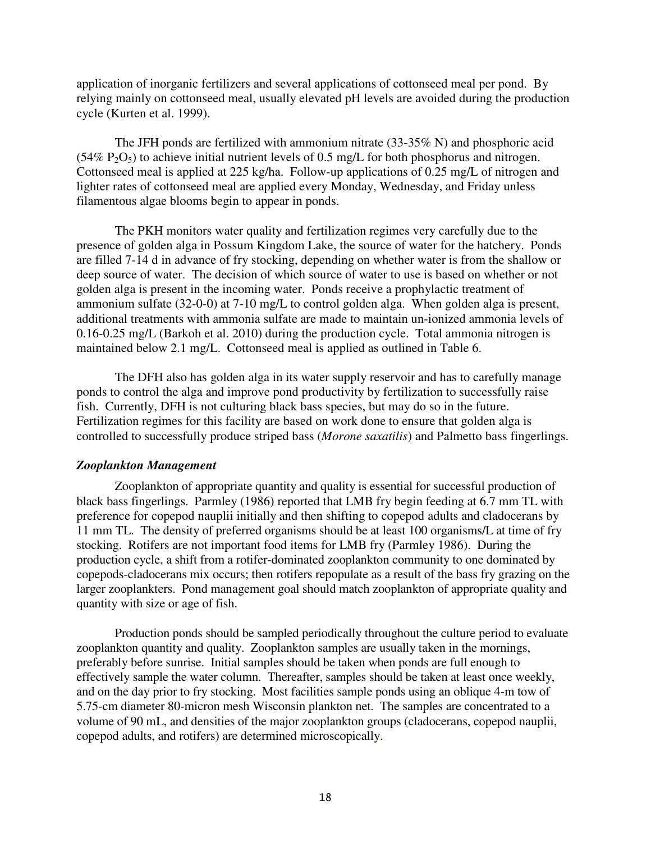application of inorganic fertilizers and several applications of cottonseed meal per pond. By relying mainly on cottonseed meal, usually elevated pH levels are avoided during the production cycle (Kurten et al. 1999).

 The JFH ponds are fertilized with ammonium nitrate (33-35% N) and phosphoric acid  $(54\% \text{ P}_2\text{O}_5)$  to achieve initial nutrient levels of 0.5 mg/L for both phosphorus and nitrogen. Cottonseed meal is applied at 225 kg/ha. Follow-up applications of 0.25 mg/L of nitrogen and lighter rates of cottonseed meal are applied every Monday, Wednesday, and Friday unless filamentous algae blooms begin to appear in ponds.

The PKH monitors water quality and fertilization regimes very carefully due to the presence of golden alga in Possum Kingdom Lake, the source of water for the hatchery. Ponds are filled 7-14 d in advance of fry stocking, depending on whether water is from the shallow or deep source of water. The decision of which source of water to use is based on whether or not golden alga is present in the incoming water. Ponds receive a prophylactic treatment of ammonium sulfate (32-0-0) at 7-10 mg/L to control golden alga. When golden alga is present, additional treatments with ammonia sulfate are made to maintain un-ionized ammonia levels of 0.16-0.25 mg/L (Barkoh et al. 2010) during the production cycle. Total ammonia nitrogen is maintained below 2.1 mg/L. Cottonseed meal is applied as outlined in Table 6.

The DFH also has golden alga in its water supply reservoir and has to carefully manage ponds to control the alga and improve pond productivity by fertilization to successfully raise fish. Currently, DFH is not culturing black bass species, but may do so in the future. Fertilization regimes for this facility are based on work done to ensure that golden alga is controlled to successfully produce striped bass (*Morone saxatilis*) and Palmetto bass fingerlings.

# *Zooplankton Management*

Zooplankton of appropriate quantity and quality is essential for successful production of black bass fingerlings. Parmley (1986) reported that LMB fry begin feeding at 6.7 mm TL with preference for copepod nauplii initially and then shifting to copepod adults and cladocerans by 11 mm TL. The density of preferred organisms should be at least 100 organisms/L at time of fry stocking. Rotifers are not important food items for LMB fry (Parmley 1986). During the production cycle, a shift from a rotifer-dominated zooplankton community to one dominated by copepods-cladocerans mix occurs; then rotifers repopulate as a result of the bass fry grazing on the larger zooplankters. Pond management goal should match zooplankton of appropriate quality and quantity with size or age of fish.

Production ponds should be sampled periodically throughout the culture period to evaluate zooplankton quantity and quality. Zooplankton samples are usually taken in the mornings, preferably before sunrise. Initial samples should be taken when ponds are full enough to effectively sample the water column. Thereafter, samples should be taken at least once weekly, and on the day prior to fry stocking. Most facilities sample ponds using an oblique 4-m tow of 5.75-cm diameter 80-micron mesh Wisconsin plankton net. The samples are concentrated to a volume of 90 mL, and densities of the major zooplankton groups (cladocerans, copepod nauplii, copepod adults, and rotifers) are determined microscopically.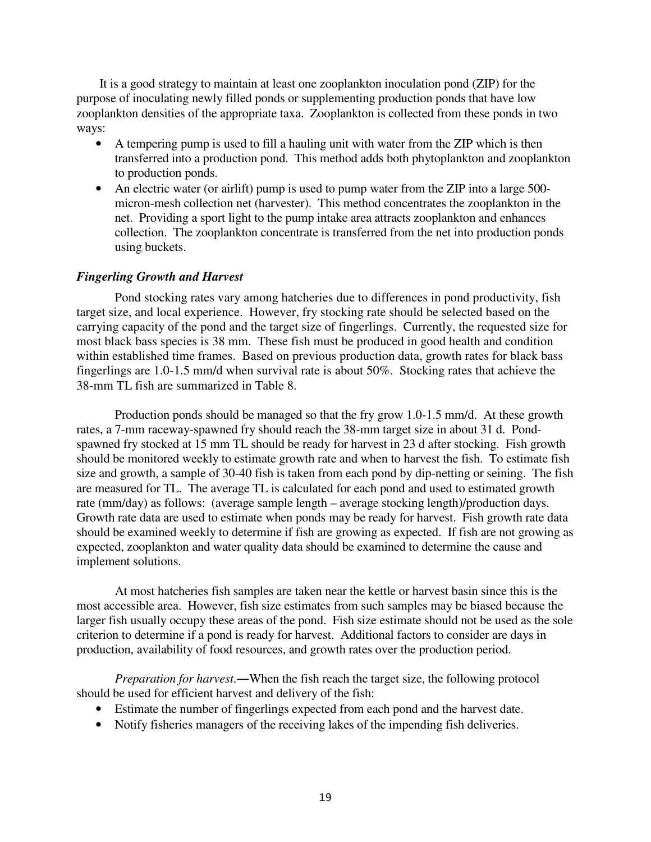It is a good strategy to maintain at least one zooplankton inoculation pond (ZIP) for the purpose of inoculating newly filled ponds or supplementing production ponds that have low zooplankton densities of the appropriate taxa. Zooplankton is collected from these ponds in two ways:

- A tempering pump is used to fill a hauling unit with water from the ZIP which is then transferred into a production pond. This method adds both phytoplankton and zooplankton to production ponds.
- An electric water (or airlift) pump is used to pump water from the ZIP into a large 500micron-mesh collection net (harvester). This method concentrates the zooplankton in the net. Providing a sport light to the pump intake area attracts zooplankton and enhances collection. The zooplankton concentrate is transferred from the net into production ponds using buckets.

# *Fingerling Growth and Harvest*

Pond stocking rates vary among hatcheries due to differences in pond productivity, fish target size, and local experience. However, fry stocking rate should be selected based on the carrying capacity of the pond and the target size of fingerlings. Currently, the requested size for most black bass species is 38 mm. These fish must be produced in good health and condition within established time frames. Based on previous production data, growth rates for black bass fingerlings are 1.0-1.5 mm/d when survival rate is about 50%. Stocking rates that achieve the 38-mm TL fish are summarized in Table 8.

 Production ponds should be managed so that the fry grow 1.0-1.5 mm/d. At these growth rates, a 7-mm raceway-spawned fry should reach the 38-mm target size in about 31 d. Pondspawned fry stocked at 15 mm TL should be ready for harvest in 23 d after stocking. Fish growth should be monitored weekly to estimate growth rate and when to harvest the fish. To estimate fish size and growth, a sample of 30-40 fish is taken from each pond by dip-netting or seining. The fish are measured for TL. The average TL is calculated for each pond and used to estimated growth rate (mm/day) as follows: (average sample length – average stocking length)/production days. Growth rate data are used to estimate when ponds may be ready for harvest. Fish growth rate data should be examined weekly to determine if fish are growing as expected. If fish are not growing as expected, zooplankton and water quality data should be examined to determine the cause and implement solutions.

At most hatcheries fish samples are taken near the kettle or harvest basin since this is the most accessible area. However, fish size estimates from such samples may be biased because the larger fish usually occupy these areas of the pond. Fish size estimate should not be used as the sole criterion to determine if a pond is ready for harvest. Additional factors to consider are days in production, availability of food resources, and growth rates over the production period.

*Preparation for harvest*.―When the fish reach the target size, the following protocol should be used for efficient harvest and delivery of the fish:

- Estimate the number of fingerlings expected from each pond and the harvest date.
- Notify fisheries managers of the receiving lakes of the impending fish deliveries.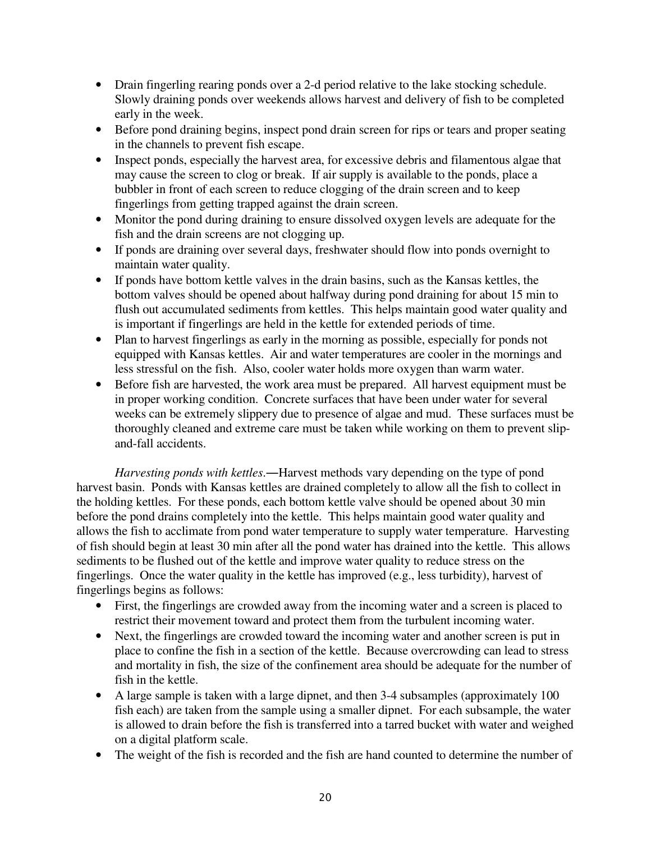- Drain fingerling rearing ponds over a 2-d period relative to the lake stocking schedule. Slowly draining ponds over weekends allows harvest and delivery of fish to be completed early in the week.
- Before pond draining begins, inspect pond drain screen for rips or tears and proper seating in the channels to prevent fish escape.
- Inspect ponds, especially the harvest area, for excessive debris and filamentous algae that may cause the screen to clog or break. If air supply is available to the ponds, place a bubbler in front of each screen to reduce clogging of the drain screen and to keep fingerlings from getting trapped against the drain screen.
- Monitor the pond during draining to ensure dissolved oxygen levels are adequate for the fish and the drain screens are not clogging up.
- If ponds are draining over several days, freshwater should flow into ponds overnight to maintain water quality.
- If ponds have bottom kettle valves in the drain basins, such as the Kansas kettles, the bottom valves should be opened about halfway during pond draining for about 15 min to flush out accumulated sediments from kettles. This helps maintain good water quality and is important if fingerlings are held in the kettle for extended periods of time.
- Plan to harvest fingerlings as early in the morning as possible, especially for ponds not equipped with Kansas kettles. Air and water temperatures are cooler in the mornings and less stressful on the fish. Also, cooler water holds more oxygen than warm water.
- Before fish are harvested, the work area must be prepared. All harvest equipment must be in proper working condition. Concrete surfaces that have been under water for several weeks can be extremely slippery due to presence of algae and mud. These surfaces must be thoroughly cleaned and extreme care must be taken while working on them to prevent slipand-fall accidents.

*Harvesting ponds with kettles*.―Harvest methods vary depending on the type of pond harvest basin. Ponds with Kansas kettles are drained completely to allow all the fish to collect in the holding kettles. For these ponds, each bottom kettle valve should be opened about 30 min before the pond drains completely into the kettle. This helps maintain good water quality and allows the fish to acclimate from pond water temperature to supply water temperature. Harvesting of fish should begin at least 30 min after all the pond water has drained into the kettle. This allows sediments to be flushed out of the kettle and improve water quality to reduce stress on the fingerlings. Once the water quality in the kettle has improved (e.g., less turbidity), harvest of fingerlings begins as follows:

- First, the fingerlings are crowded away from the incoming water and a screen is placed to restrict their movement toward and protect them from the turbulent incoming water.
- Next, the fingerlings are crowded toward the incoming water and another screen is put in place to confine the fish in a section of the kettle. Because overcrowding can lead to stress and mortality in fish, the size of the confinement area should be adequate for the number of fish in the kettle.
- A large sample is taken with a large dipnet, and then 3-4 subsamples (approximately 100 fish each) are taken from the sample using a smaller dipnet. For each subsample, the water is allowed to drain before the fish is transferred into a tarred bucket with water and weighed on a digital platform scale.
- The weight of the fish is recorded and the fish are hand counted to determine the number of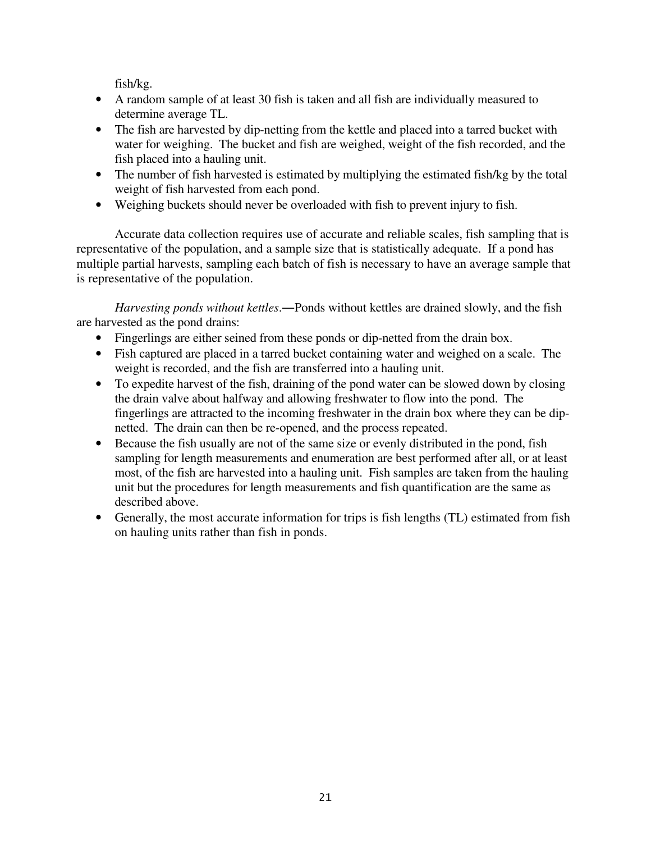fish/kg.

- A random sample of at least 30 fish is taken and all fish are individually measured to determine average TL.
- The fish are harvested by dip-netting from the kettle and placed into a tarred bucket with water for weighing. The bucket and fish are weighed, weight of the fish recorded, and the fish placed into a hauling unit.
- The number of fish harvested is estimated by multiplying the estimated fish/kg by the total weight of fish harvested from each pond.
- Weighing buckets should never be overloaded with fish to prevent injury to fish.

Accurate data collection requires use of accurate and reliable scales, fish sampling that is representative of the population, and a sample size that is statistically adequate. If a pond has multiple partial harvests, sampling each batch of fish is necessary to have an average sample that is representative of the population.

*Harvesting ponds without kettles*.―Ponds without kettles are drained slowly, and the fish are harvested as the pond drains:

- Fingerlings are either seined from these ponds or dip-netted from the drain box.
- Fish captured are placed in a tarred bucket containing water and weighed on a scale. The weight is recorded, and the fish are transferred into a hauling unit.
- To expedite harvest of the fish, draining of the pond water can be slowed down by closing the drain valve about halfway and allowing freshwater to flow into the pond. The fingerlings are attracted to the incoming freshwater in the drain box where they can be dipnetted. The drain can then be re-opened, and the process repeated.
- Because the fish usually are not of the same size or evenly distributed in the pond, fish sampling for length measurements and enumeration are best performed after all, or at least most, of the fish are harvested into a hauling unit. Fish samples are taken from the hauling unit but the procedures for length measurements and fish quantification are the same as described above.
- Generally, the most accurate information for trips is fish lengths (TL) estimated from fish on hauling units rather than fish in ponds.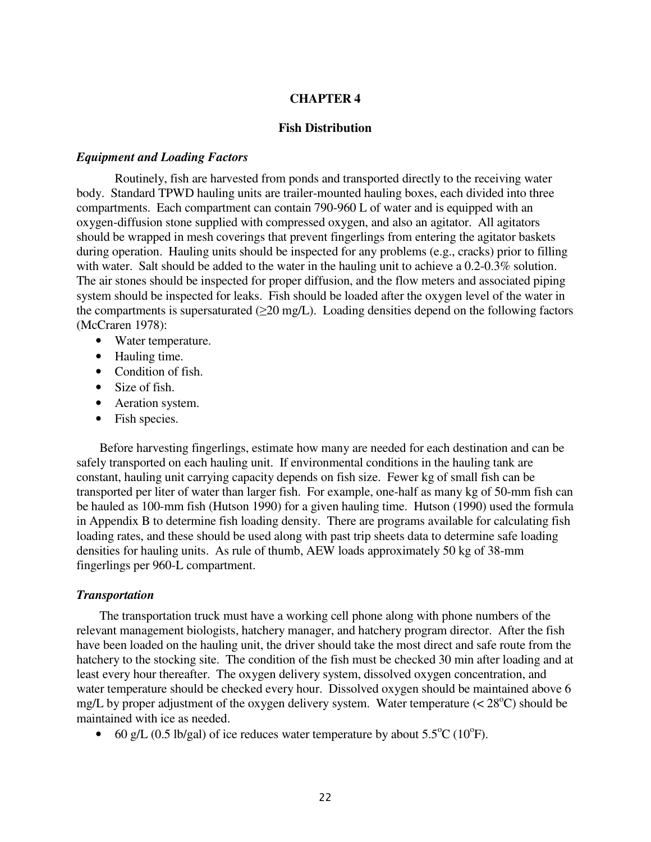# **CHAPTER 4**

# **Fish Distribution**

#### *Equipment and Loading Factors*

Routinely, fish are harvested from ponds and transported directly to the receiving water body. Standard TPWD hauling units are trailer-mounted hauling boxes, each divided into three compartments. Each compartment can contain 790-960 L of water and is equipped with an oxygen-diffusion stone supplied with compressed oxygen, and also an agitator. All agitators should be wrapped in mesh coverings that prevent fingerlings from entering the agitator baskets during operation. Hauling units should be inspected for any problems (e.g., cracks) prior to filling with water. Salt should be added to the water in the hauling unit to achieve a 0.2-0.3% solution. The air stones should be inspected for proper diffusion, and the flow meters and associated piping system should be inspected for leaks. Fish should be loaded after the oxygen level of the water in the compartments is supersaturated  $(\geq 20 \text{ mg/L})$ . Loading densities depend on the following factors (McCraren 1978):

- Water temperature.
- Hauling time.
- Condition of fish.
- Size of fish.
- Aeration system.
- Fish species.

 Before harvesting fingerlings, estimate how many are needed for each destination and can be safely transported on each hauling unit. If environmental conditions in the hauling tank are constant, hauling unit carrying capacity depends on fish size. Fewer kg of small fish can be transported per liter of water than larger fish. For example, one-half as many kg of 50-mm fish can be hauled as 100-mm fish (Hutson 1990) for a given hauling time. Hutson (1990) used the formula in Appendix B to determine fish loading density. There are programs available for calculating fish loading rates, and these should be used along with past trip sheets data to determine safe loading densities for hauling units. As rule of thumb, AEW loads approximately 50 kg of 38-mm fingerlings per 960-L compartment.

#### *Transportation*

 The transportation truck must have a working cell phone along with phone numbers of the relevant management biologists, hatchery manager, and hatchery program director. After the fish have been loaded on the hauling unit, the driver should take the most direct and safe route from the hatchery to the stocking site. The condition of the fish must be checked 30 min after loading and at least every hour thereafter. The oxygen delivery system, dissolved oxygen concentration, and water temperature should be checked every hour. Dissolved oxygen should be maintained above 6 mg/L by proper adjustment of the oxygen delivery system. Water temperature  $(< 28^{\circ}$ C) should be maintained with ice as needed.

• 60 g/L (0.5 lb/gal) of ice reduces water temperature by about  $5.5^{\circ}$ C (10<sup>o</sup>F).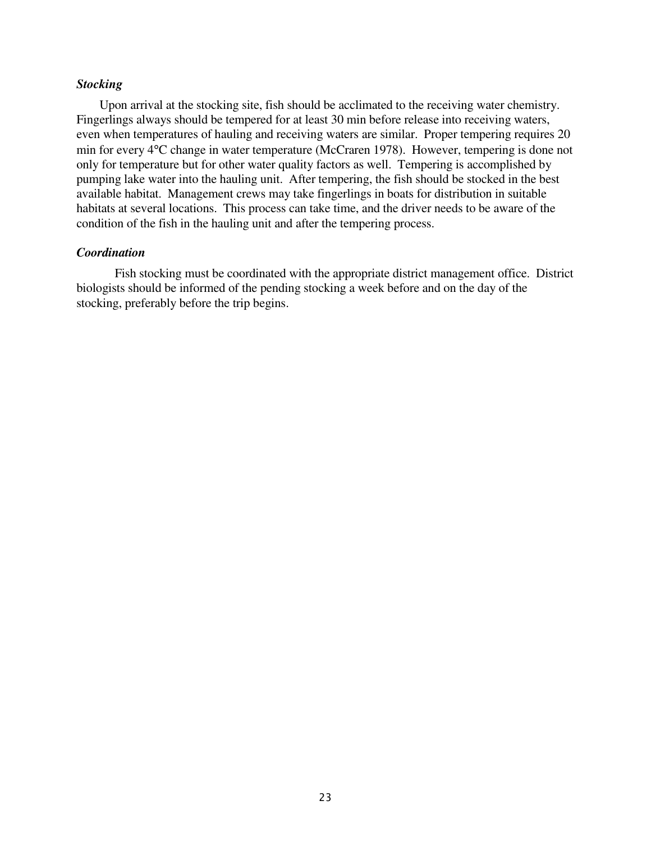#### *Stocking*

 Upon arrival at the stocking site, fish should be acclimated to the receiving water chemistry. Fingerlings always should be tempered for at least 30 min before release into receiving waters, even when temperatures of hauling and receiving waters are similar. Proper tempering requires 20 min for every 4°C change in water temperature (McCraren 1978). However, tempering is done not only for temperature but for other water quality factors as well. Tempering is accomplished by pumping lake water into the hauling unit. After tempering, the fish should be stocked in the best available habitat. Management crews may take fingerlings in boats for distribution in suitable habitats at several locations. This process can take time, and the driver needs to be aware of the condition of the fish in the hauling unit and after the tempering process.

# *Coordination*

Fish stocking must be coordinated with the appropriate district management office. District biologists should be informed of the pending stocking a week before and on the day of the stocking, preferably before the trip begins.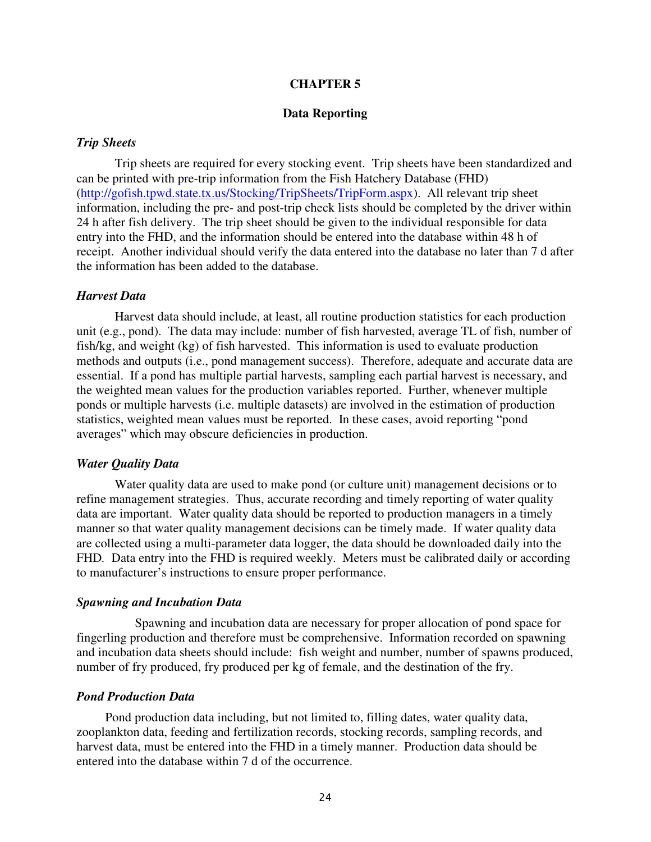# **CHAPTER 5**

# **Data Reporting**

# *Trip Sheets*

 Trip sheets are required for every stocking event. Trip sheets have been standardized and can be printed with pre-trip information from the Fish Hatchery Database (FHD) (http://gofish.tpwd.state.tx.us/Stocking/TripSheets/TripForm.aspx). All relevant trip sheet information, including the pre- and post-trip check lists should be completed by the driver within 24 h after fish delivery. The trip sheet should be given to the individual responsible for data entry into the FHD, and the information should be entered into the database within 48 h of receipt. Another individual should verify the data entered into the database no later than 7 d after the information has been added to the database.

#### *Harvest Data*

Harvest data should include, at least, all routine production statistics for each production unit (e.g., pond). The data may include: number of fish harvested, average TL of fish, number of fish/kg, and weight (kg) of fish harvested. This information is used to evaluate production methods and outputs (i.e., pond management success). Therefore, adequate and accurate data are essential. If a pond has multiple partial harvests, sampling each partial harvest is necessary, and the weighted mean values for the production variables reported. Further, whenever multiple ponds or multiple harvests (i.e. multiple datasets) are involved in the estimation of production statistics, weighted mean values must be reported. In these cases, avoid reporting "pond averages" which may obscure deficiencies in production.

#### *Water Quality Data*

Water quality data are used to make pond (or culture unit) management decisions or to refine management strategies. Thus, accurate recording and timely reporting of water quality data are important. Water quality data should be reported to production managers in a timely manner so that water quality management decisions can be timely made. If water quality data are collected using a multi-parameter data logger, the data should be downloaded daily into the FHD. Data entry into the FHD is required weekly. Meters must be calibrated daily or according to manufacturer's instructions to ensure proper performance.

#### *Spawning and Incubation Data*

 Spawning and incubation data are necessary for proper allocation of pond space for fingerling production and therefore must be comprehensive. Information recorded on spawning and incubation data sheets should include: fish weight and number, number of spawns produced, number of fry produced, fry produced per kg of female, and the destination of the fry.

#### *Pond Production Data*

 Pond production data including, but not limited to, filling dates, water quality data, zooplankton data, feeding and fertilization records, stocking records, sampling records, and harvest data, must be entered into the FHD in a timely manner. Production data should be entered into the database within 7 d of the occurrence.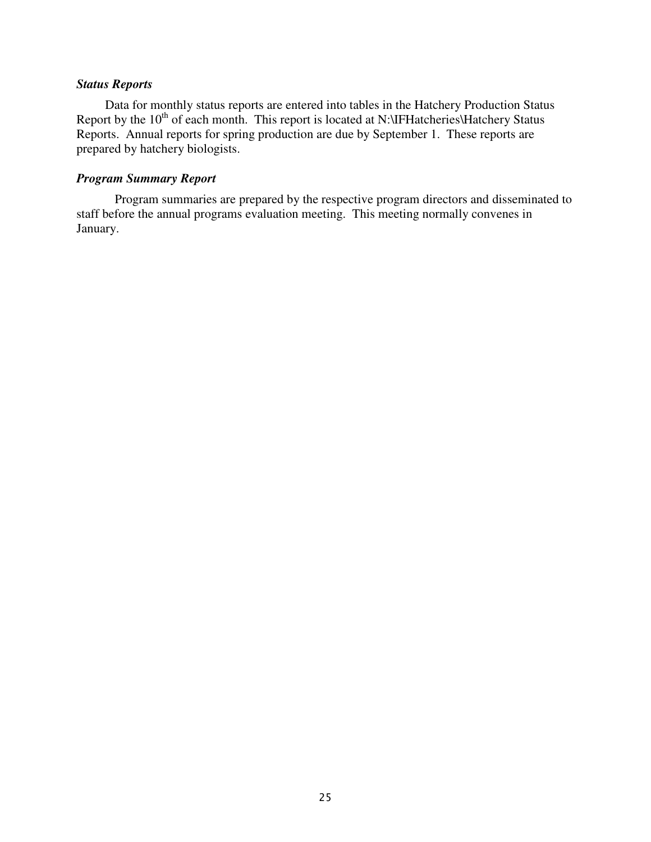# *Status Reports*

 Data for monthly status reports are entered into tables in the Hatchery Production Status Report by the  $10<sup>th</sup>$  of each month. This report is located at N:\IFHatcheries\Hatchery Status Reports. Annual reports for spring production are due by September 1. These reports are prepared by hatchery biologists.

# *Program Summary Report*

Program summaries are prepared by the respective program directors and disseminated to staff before the annual programs evaluation meeting. This meeting normally convenes in January.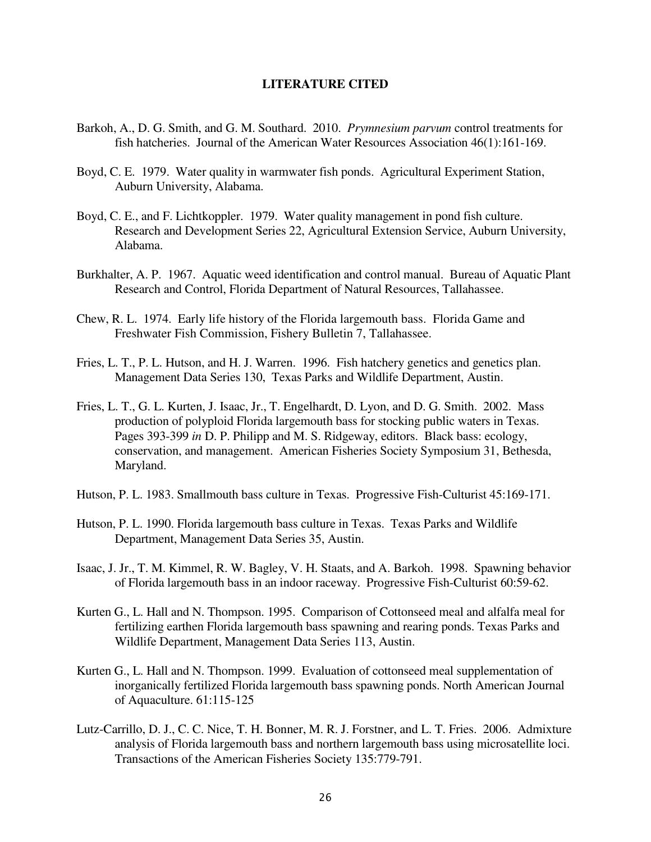# **LITERATURE CITED**

- Barkoh, A., D. G. Smith, and G. M. Southard. 2010. *Prymnesium parvum* control treatments for fish hatcheries. Journal of the American Water Resources Association 46(1):161-169.
- Boyd, C. E. 1979. Water quality in warmwater fish ponds. Agricultural Experiment Station, Auburn University, Alabama.
- Boyd, C. E., and F. Lichtkoppler. 1979. Water quality management in pond fish culture. Research and Development Series 22, Agricultural Extension Service, Auburn University, Alabama.
- Burkhalter, A. P. 1967. Aquatic weed identification and control manual. Bureau of Aquatic Plant Research and Control, Florida Department of Natural Resources, Tallahassee.
- Chew, R. L. 1974. Early life history of the Florida largemouth bass. Florida Game and Freshwater Fish Commission, Fishery Bulletin 7, Tallahassee.
- Fries, L. T., P. L. Hutson, and H. J. Warren. 1996. Fish hatchery genetics and genetics plan. Management Data Series 130, Texas Parks and Wildlife Department, Austin.
- Fries, L. T., G. L. Kurten, J. Isaac, Jr., T. Engelhardt, D. Lyon, and D. G. Smith. 2002. Mass production of polyploid Florida largemouth bass for stocking public waters in Texas. Pages 393-399 *in* D. P. Philipp and M. S. Ridgeway, editors. Black bass: ecology, conservation, and management. American Fisheries Society Symposium 31, Bethesda, Maryland.
- Hutson, P. L. 1983. Smallmouth bass culture in Texas. Progressive Fish-Culturist 45:169-171.
- Hutson, P. L. 1990. Florida largemouth bass culture in Texas. Texas Parks and Wildlife Department, Management Data Series 35, Austin.
- Isaac, J. Jr., T. M. Kimmel, R. W. Bagley, V. H. Staats, and A. Barkoh. 1998. Spawning behavior of Florida largemouth bass in an indoor raceway. Progressive Fish-Culturist 60:59-62.
- Kurten G., L. Hall and N. Thompson. 1995. Comparison of Cottonseed meal and alfalfa meal for fertilizing earthen Florida largemouth bass spawning and rearing ponds. Texas Parks and Wildlife Department, Management Data Series 113, Austin.
- Kurten G., L. Hall and N. Thompson. 1999. Evaluation of cottonseed meal supplementation of inorganically fertilized Florida largemouth bass spawning ponds. North American Journal of Aquaculture. 61:115-125
- Lutz-Carrillo, D. J., C. C. Nice, T. H. Bonner, M. R. J. Forstner, and L. T. Fries. 2006. Admixture analysis of Florida largemouth bass and northern largemouth bass using microsatellite loci. Transactions of the American Fisheries Society 135:779-791.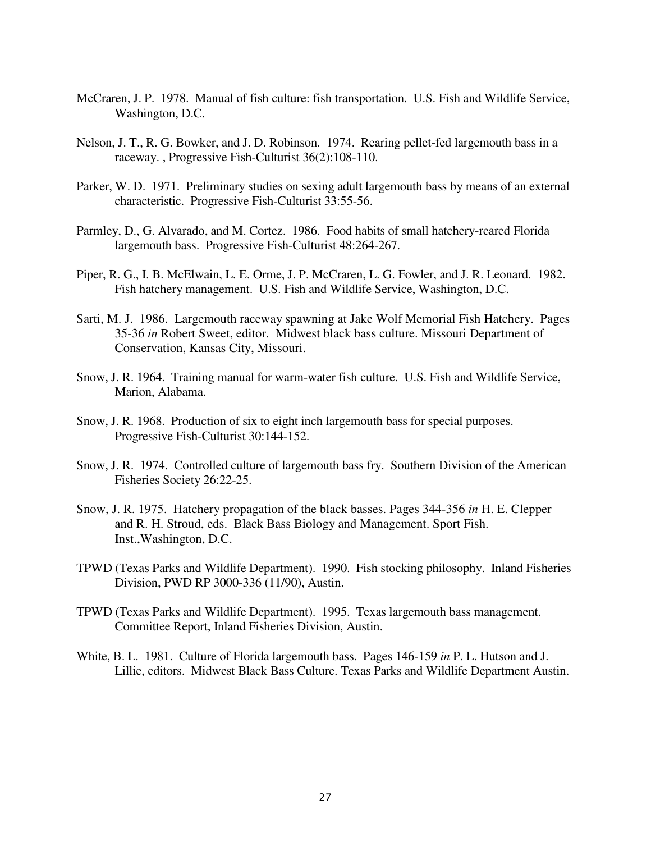- McCraren, J. P. 1978. Manual of fish culture: fish transportation. U.S. Fish and Wildlife Service, Washington, D.C.
- Nelson, J. T., R. G. Bowker, and J. D. Robinson. 1974. Rearing pellet-fed largemouth bass in a raceway. , Progressive Fish-Culturist 36(2):108-110.
- Parker, W. D. 1971. Preliminary studies on sexing adult largemouth bass by means of an external characteristic. Progressive Fish-Culturist 33:55-56.
- Parmley, D., G. Alvarado, and M. Cortez. 1986. Food habits of small hatchery-reared Florida largemouth bass. Progressive Fish-Culturist 48:264-267.
- Piper, R. G., I. B. McElwain, L. E. Orme, J. P. McCraren, L. G. Fowler, and J. R. Leonard. 1982. Fish hatchery management. U.S. Fish and Wildlife Service, Washington, D.C.
- Sarti, M. J. 1986. Largemouth raceway spawning at Jake Wolf Memorial Fish Hatchery. Pages 35-36 *in* Robert Sweet, editor. Midwest black bass culture. Missouri Department of Conservation, Kansas City, Missouri.
- Snow, J. R. 1964. Training manual for warm-water fish culture. U.S. Fish and Wildlife Service, Marion, Alabama.
- Snow, J. R. 1968. Production of six to eight inch largemouth bass for special purposes. Progressive Fish-Culturist 30:144-152.
- Snow, J. R. 1974. Controlled culture of largemouth bass fry. Southern Division of the American Fisheries Society 26:22-25.
- Snow, J. R. 1975. Hatchery propagation of the black basses. Pages 344-356 *in* H. E. Clepper and R. H. Stroud, eds. Black Bass Biology and Management. Sport Fish. Inst.,Washington, D.C.
- TPWD (Texas Parks and Wildlife Department). 1990. Fish stocking philosophy. Inland Fisheries Division, PWD RP 3000-336 (11/90), Austin.
- TPWD (Texas Parks and Wildlife Department). 1995. Texas largemouth bass management. Committee Report, Inland Fisheries Division, Austin.
- White, B. L. 1981. Culture of Florida largemouth bass. Pages 146-159 *in* P. L. Hutson and J. Lillie, editors. Midwest Black Bass Culture. Texas Parks and Wildlife Department Austin.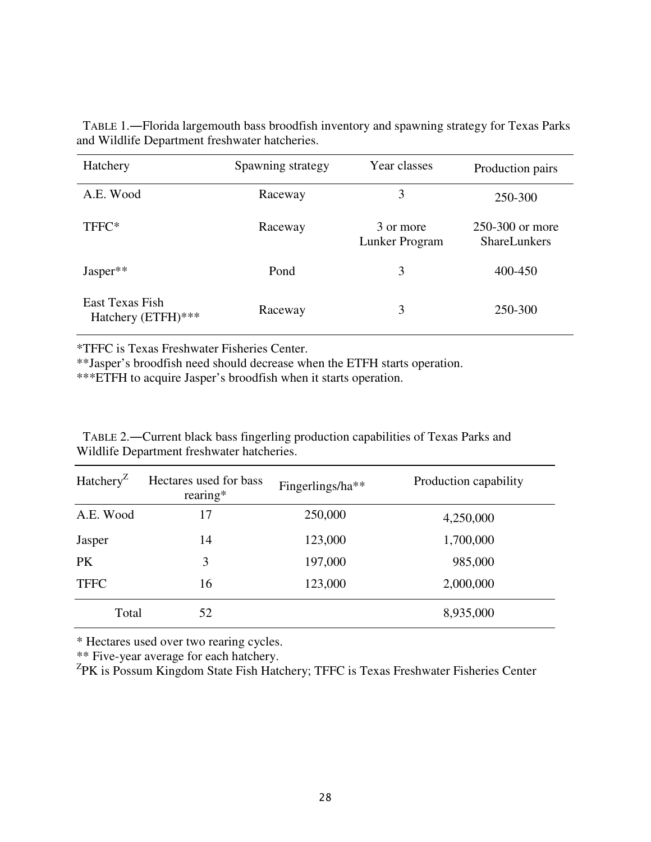| Hatchery                              | Spawning strategy | Year classes                | Production pairs                       |
|---------------------------------------|-------------------|-----------------------------|----------------------------------------|
| A.E. Wood                             | Raceway           | 3                           | 250-300                                |
| TFFC*                                 | Raceway           | 3 or more<br>Lunker Program | 250-300 or more<br><b>ShareLunkers</b> |
| $Jasper**$                            | Pond              | 3                           | 400-450                                |
| East Texas Fish<br>Hatchery (ETFH)*** | Raceway           | 3                           | 250-300                                |

 TABLE 1.―Florida largemouth bass broodfish inventory and spawning strategy for Texas Parks and Wildlife Department freshwater hatcheries.

\*TFFC is Texas Freshwater Fisheries Center.

\*\*Jasper's broodfish need should decrease when the ETFH starts operation.

\*\*\*ETFH to acquire Jasper's broodfish when it starts operation.

 TABLE 2.―Current black bass fingerling production capabilities of Texas Parks and Wildlife Department freshwater hatcheries.

| Hatchery <sup>Z</sup> | Hectares used for bass<br>rearing $*$ | Fingerlings/ha** | Production capability |
|-----------------------|---------------------------------------|------------------|-----------------------|
| A.E. Wood             | 17                                    | 250,000          | 4,250,000             |
| Jasper                | 14                                    | 123,000          | 1,700,000             |
| <b>PK</b>             | 3                                     | 197,000          | 985,000               |
| <b>TFFC</b>           | 16                                    | 123,000          | 2,000,000             |
| Total                 | 52                                    |                  | 8,935,000             |

\* Hectares used over two rearing cycles.

\*\* Five-year average for each hatchery.

<sup>Z</sup>PK is Possum Kingdom State Fish Hatchery; TFFC is Texas Freshwater Fisheries Center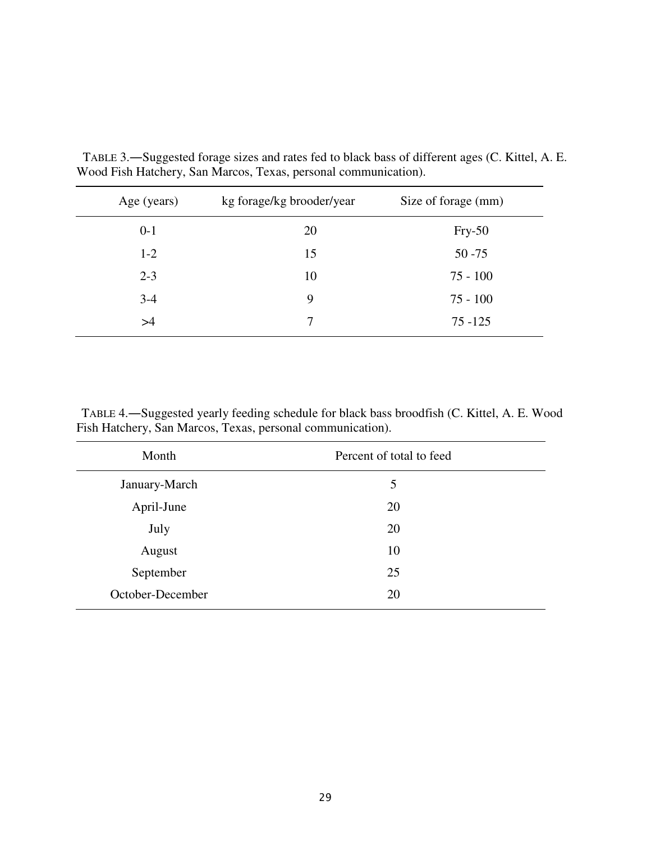| Age (years) | kg forage/kg brooder/year | Size of forage (mm) |
|-------------|---------------------------|---------------------|
| $0 - 1$     | 20                        | $Fry-50$            |
| $1-2$       | 15                        | $50 - 75$           |
| $2 - 3$     | 10                        | $75 - 100$          |
| $3-4$       | 9                         | $75 - 100$          |
| >4          |                           | $75 - 125$          |

 TABLE 3.―Suggested forage sizes and rates fed to black bass of different ages (C. Kittel, A. E. Wood Fish Hatchery, San Marcos, Texas, personal communication).

 TABLE 4.―Suggested yearly feeding schedule for black bass broodfish (C. Kittel, A. E. Wood Fish Hatchery, San Marcos, Texas, personal communication).

| Percent of total to feed |
|--------------------------|
| 5                        |
| 20                       |
| 20                       |
| 10                       |
| 25                       |
| 20                       |
|                          |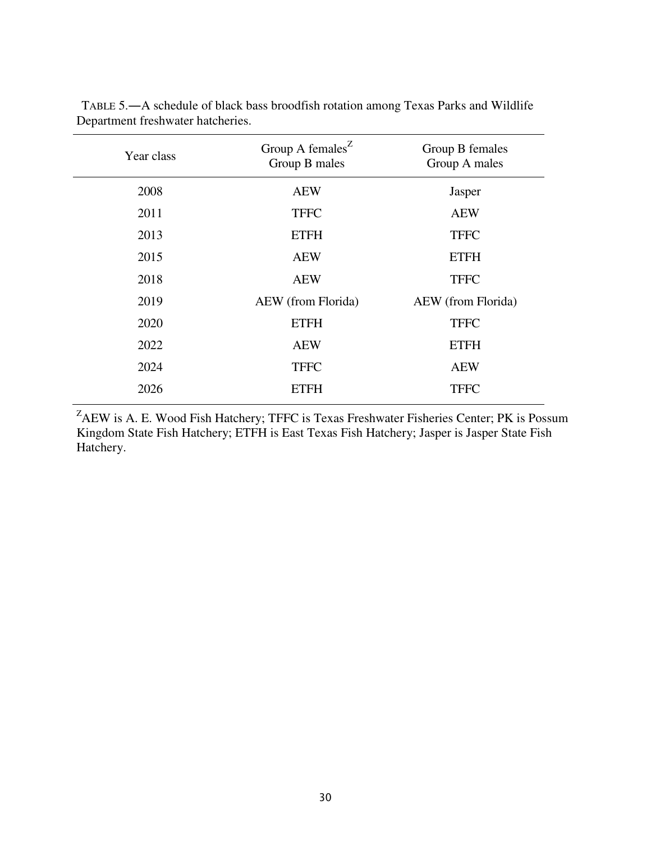| Year class | Group A females <sup><math>Z</math></sup><br>Group B males | Group B females<br>Group A males |
|------------|------------------------------------------------------------|----------------------------------|
| 2008       | <b>AEW</b>                                                 | Jasper                           |
| 2011       | <b>TFFC</b>                                                | <b>AEW</b>                       |
| 2013       | <b>ETFH</b>                                                | <b>TFFC</b>                      |
| 2015       | <b>AEW</b>                                                 | <b>ETFH</b>                      |
| 2018       | <b>AEW</b>                                                 | <b>TFFC</b>                      |
| 2019       | AEW (from Florida)                                         | AEW (from Florida)               |
| 2020       | <b>ETFH</b>                                                | <b>TFFC</b>                      |
| 2022       | <b>AEW</b>                                                 | <b>ETFH</b>                      |
| 2024       | <b>TFFC</b>                                                | <b>AEW</b>                       |
| 2026       | <b>ETFH</b>                                                | <b>TFFC</b>                      |

 TABLE 5.―A schedule of black bass broodfish rotation among Texas Parks and Wildlife Department freshwater hatcheries.

<sup>Z</sup>AEW is A. E. Wood Fish Hatchery; TFFC is Texas Freshwater Fisheries Center; PK is Possum Kingdom State Fish Hatchery; ETFH is East Texas Fish Hatchery; Jasper is Jasper State Fish Hatchery.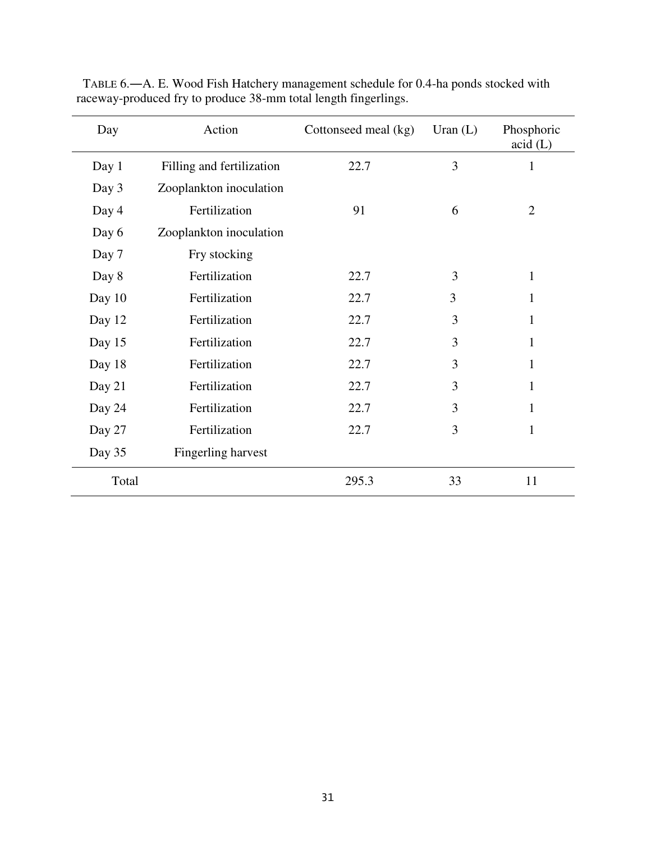| Day    | Action                    | Cottonseed meal (kg) | Uran $(L)$ | Phosphoric<br>$\text{acid}$ (L) |
|--------|---------------------------|----------------------|------------|---------------------------------|
| Day 1  | Filling and fertilization | 22.7                 | 3          | 1                               |
| Day 3  | Zooplankton inoculation   |                      |            |                                 |
| Day 4  | Fertilization             | 91                   | 6          | $\overline{2}$                  |
| Day 6  | Zooplankton inoculation   |                      |            |                                 |
| Day 7  | Fry stocking              |                      |            |                                 |
| Day 8  | Fertilization             | 22.7                 | 3          | 1                               |
| Day 10 | Fertilization             | 22.7                 | 3          | 1                               |
| Day 12 | Fertilization             | 22.7                 | 3          | 1                               |
| Day 15 | Fertilization             | 22.7                 | 3          | $\mathbf{1}$                    |
| Day 18 | Fertilization             | 22.7                 | 3          | 1                               |
| Day 21 | Fertilization             | 22.7                 | 3          |                                 |
| Day 24 | Fertilization             | 22.7                 | 3          | 1                               |
| Day 27 | Fertilization             | 22.7                 | 3          | $\mathbf{1}$                    |
| Day 35 | Fingerling harvest        |                      |            |                                 |
| Total  |                           | 295.3                | 33         | 11                              |

 TABLE 6.―A. E. Wood Fish Hatchery management schedule for 0.4-ha ponds stocked with raceway-produced fry to produce 38-mm total length fingerlings.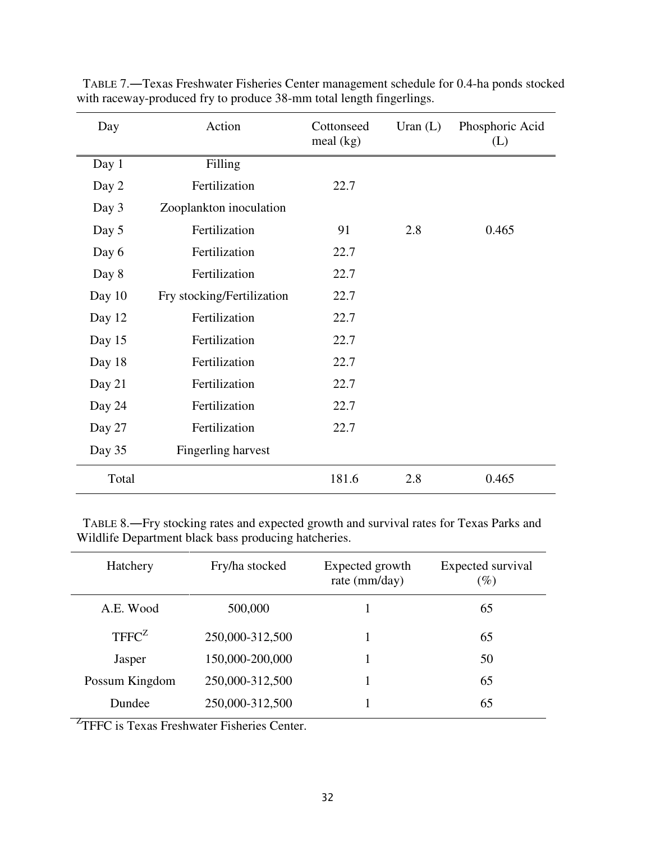| Day    | Action                     | Cottonseed<br>meal $(kg)$ | Uran $(L)$ | Phosphoric Acid<br>(L) |
|--------|----------------------------|---------------------------|------------|------------------------|
| Day 1  | Filling                    |                           |            |                        |
| Day 2  | Fertilization              | 22.7                      |            |                        |
| Day 3  | Zooplankton inoculation    |                           |            |                        |
| Day 5  | Fertilization              | 91                        | 2.8        | 0.465                  |
| Day 6  | Fertilization              | 22.7                      |            |                        |
| Day 8  | Fertilization              | 22.7                      |            |                        |
| Day 10 | Fry stocking/Fertilization | 22.7                      |            |                        |
| Day 12 | Fertilization              | 22.7                      |            |                        |
| Day 15 | Fertilization              | 22.7                      |            |                        |
| Day 18 | Fertilization              | 22.7                      |            |                        |
| Day 21 | Fertilization              | 22.7                      |            |                        |
| Day 24 | Fertilization              | 22.7                      |            |                        |
| Day 27 | Fertilization              | 22.7                      |            |                        |
| Day 35 | Fingerling harvest         |                           |            |                        |
| Total  |                            | 181.6                     | 2.8        | 0.465                  |

 TABLE 7.―Texas Freshwater Fisheries Center management schedule for 0.4-ha ponds stocked with raceway-produced fry to produce 38-mm total length fingerlings.

 TABLE 8.―Fry stocking rates and expected growth and survival rates for Texas Parks and Wildlife Department black bass producing hatcheries.

| Hatchery          | Fry/ha stocked  | Expected growth<br>rate (mm/day) | Expected survival<br>$(\%)$ |
|-------------------|-----------------|----------------------------------|-----------------------------|
| A.E. Wood         | 500,000         |                                  | 65                          |
| TFFC <sup>Z</sup> | 250,000-312,500 |                                  | 65                          |
| Jasper            | 150,000-200,000 |                                  | 50                          |
| Possum Kingdom    | 250,000-312,500 |                                  | 65                          |
| Dundee            | 250,000-312,500 |                                  | 65                          |

<sup>Z</sup>TFFC is Texas Freshwater Fisheries Center.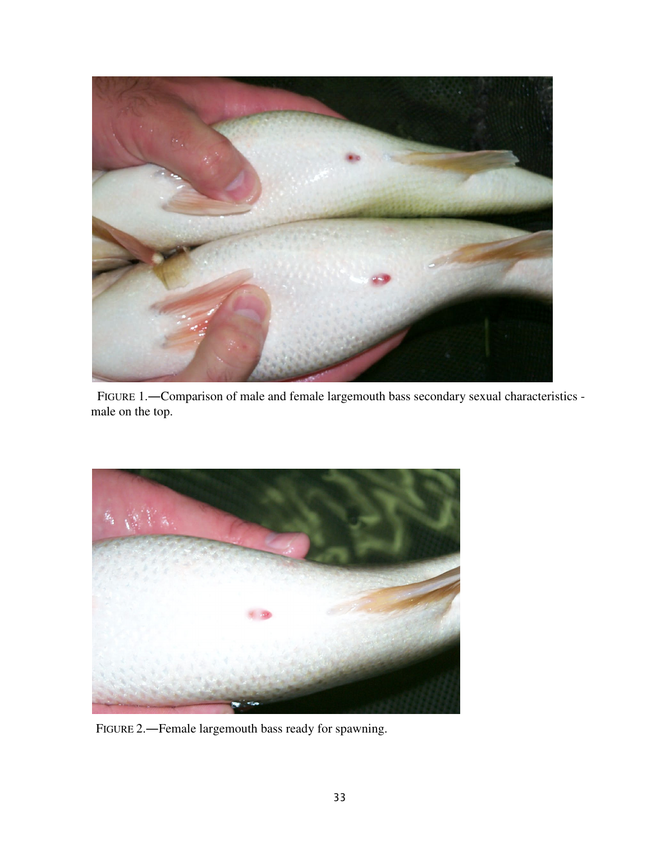

 FIGURE 1.―Comparison of male and female largemouth bass secondary sexual characteristics male on the top.



FIGURE 2.―Female largemouth bass ready for spawning.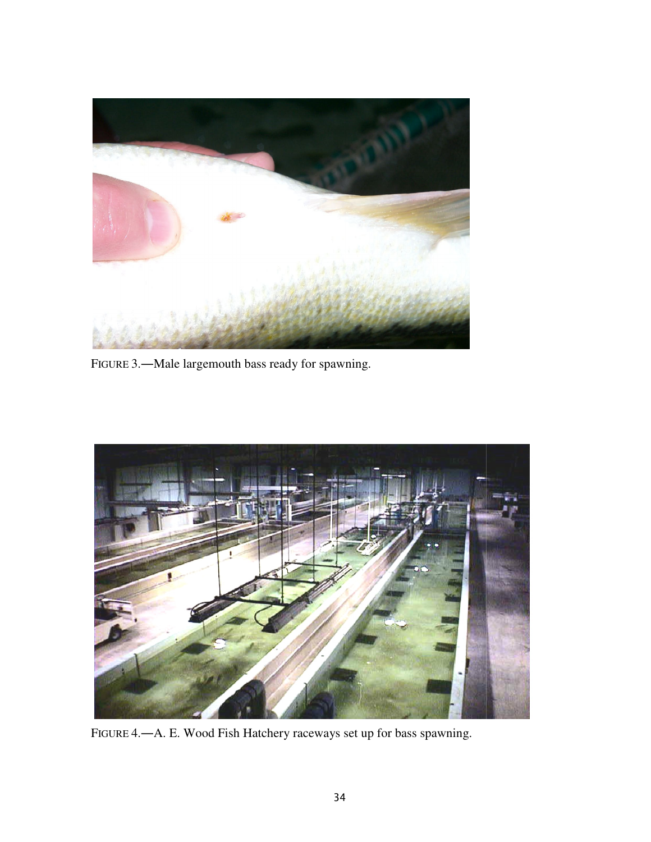

FIGURE 3.—Male largemouth bass ready for spawning.



FIGURE 4.―A. E. Wood Fish Hatchery raceways set up for bass spawning.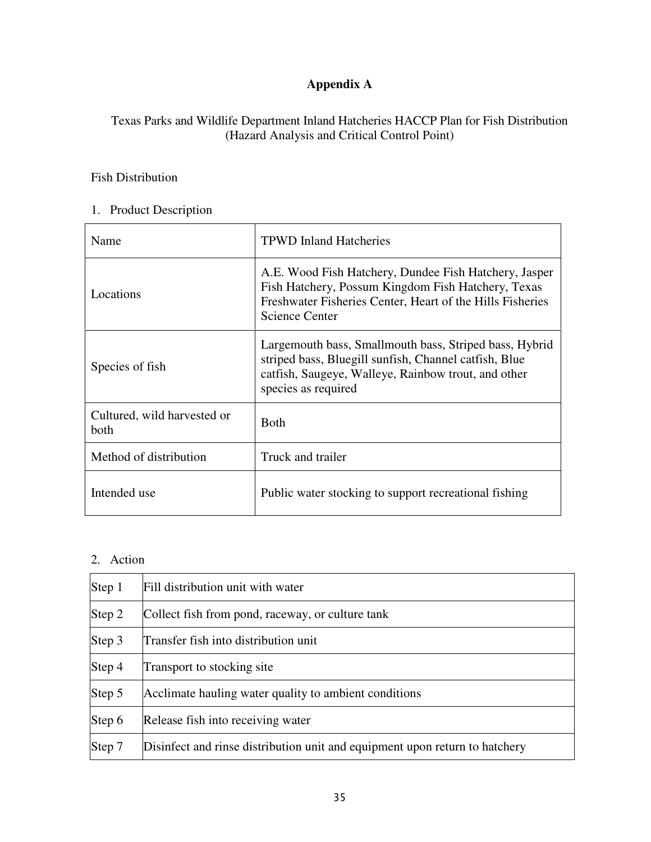# **Appendix A**

# Texas Parks and Wildlife Department Inland Hatcheries HACCP Plan for Fish Distribution (Hazard Analysis and Critical Control Point)

# Fish Distribution

# 1. Product Description

| Name                                | <b>TPWD Inland Hatcheries</b>                                                                                                                                                                     |
|-------------------------------------|---------------------------------------------------------------------------------------------------------------------------------------------------------------------------------------------------|
| Locations                           | A.E. Wood Fish Hatchery, Dundee Fish Hatchery, Jasper<br>Fish Hatchery, Possum Kingdom Fish Hatchery, Texas<br>Freshwater Fisheries Center, Heart of the Hills Fisheries<br><b>Science Center</b> |
| Species of fish                     | Largemouth bass, Smallmouth bass, Striped bass, Hybrid<br>striped bass, Bluegill sunfish, Channel catfish, Blue<br>catfish, Saugeye, Walleye, Rainbow trout, and other<br>species as required     |
| Cultured, wild harvested or<br>both | <b>Both</b>                                                                                                                                                                                       |
| Method of distribution              | Truck and trailer                                                                                                                                                                                 |
| Intended use                        | Public water stocking to support recreational fishing                                                                                                                                             |

# 2. Action

| Step 1 | Fill distribution unit with water                                           |
|--------|-----------------------------------------------------------------------------|
| Step 2 | Collect fish from pond, raceway, or culture tank                            |
| Step 3 | Transfer fish into distribution unit                                        |
| Step 4 | Transport to stocking site                                                  |
| Step 5 | Acclimate hauling water quality to ambient conditions                       |
| Step 6 | Release fish into receiving water                                           |
| Step 7 | Disinfect and rinse distribution unit and equipment upon return to hatchery |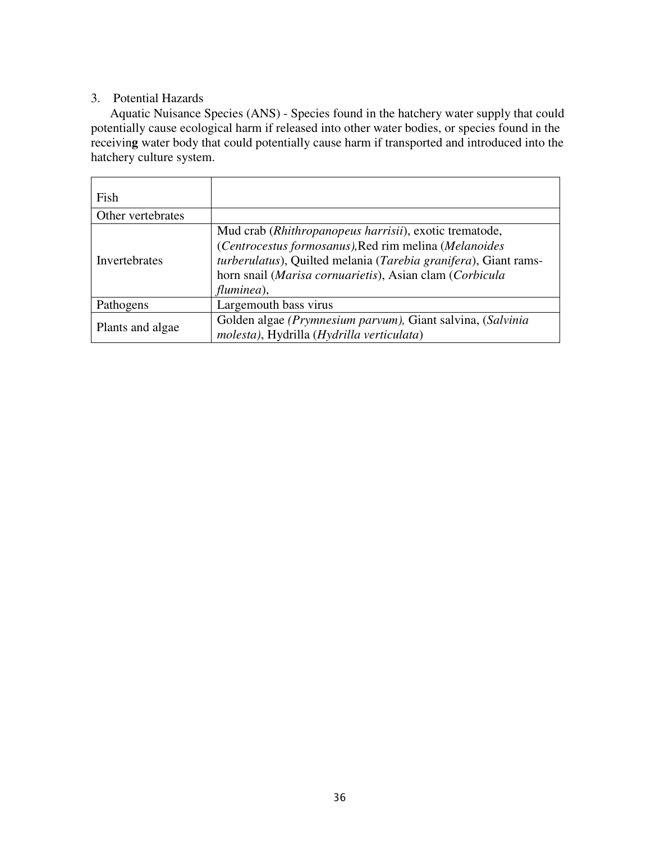# 3. Potential Hazards

Aquatic Nuisance Species (ANS) - Species found in the hatchery water supply that could potentially cause ecological harm if released into other water bodies, or species found in the receivin**g** water body that could potentially cause harm if transported and introduced into the hatchery culture system.

| Fish              |                                                                                                                                                                                                                                                             |
|-------------------|-------------------------------------------------------------------------------------------------------------------------------------------------------------------------------------------------------------------------------------------------------------|
| Other vertebrates |                                                                                                                                                                                                                                                             |
| Invertebrates     | Mud crab (Rhithropanopeus harrisii), exotic trematode,<br>(Centrocestus formosanus), Red rim melina (Melanoides<br>turberulatus), Quilted melania (Tarebia granifera), Giant rams-<br>horn snail (Marisa cornuarietis), Asian clam (Corbicula<br>fluminea), |
| Pathogens         | Largemouth bass virus                                                                                                                                                                                                                                       |
| Plants and algae  | Golden algae (Prymnesium parvum), Giant salvina, (Salvinia<br>molesta), Hydrilla (Hydrilla verticulata)                                                                                                                                                     |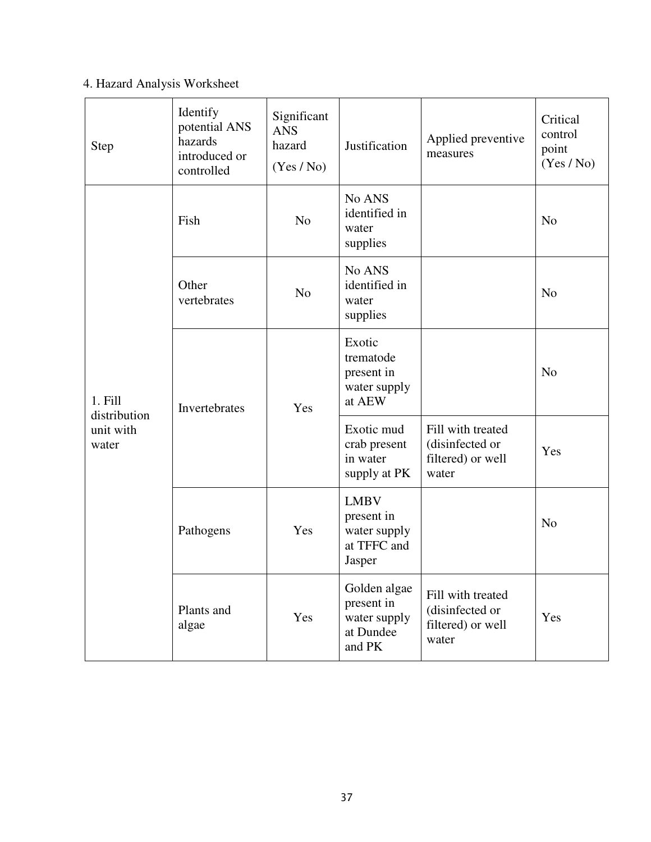# 4. Hazard Analysis Worksheet

| <b>Step</b>                        | Identify<br>potential ANS<br>hazards<br>introduced or<br>controlled | Significant<br><b>ANS</b><br>hazard<br>(Yes / No) | Justification                                                      | Applied preventive<br>measures                                     | Critical<br>control<br>point<br>(Yes / No) |
|------------------------------------|---------------------------------------------------------------------|---------------------------------------------------|--------------------------------------------------------------------|--------------------------------------------------------------------|--------------------------------------------|
|                                    | Fish                                                                | N <sub>o</sub>                                    | No ANS<br>identified in<br>water<br>supplies                       |                                                                    | N <sub>o</sub>                             |
|                                    | Other<br>N <sub>o</sub><br>vertebrates                              |                                                   | No ANS<br>identified in<br>water<br>supplies                       |                                                                    | N <sub>o</sub>                             |
| 1. Fill                            | Invertebrates                                                       | Yes                                               | Exotic<br>trematode<br>present in<br>water supply<br>at AEW        |                                                                    | N <sub>o</sub>                             |
| distribution<br>unit with<br>water |                                                                     |                                                   | Exotic mud<br>crab present<br>in water<br>supply at PK             | Fill with treated<br>(disinfected or<br>filtered) or well<br>water | Yes                                        |
|                                    | Yes<br>Pathogens                                                    |                                                   | <b>LMBV</b><br>present in<br>water supply<br>at TFFC and<br>Jasper |                                                                    | N <sub>o</sub>                             |
|                                    | Plants and<br>algae                                                 | Yes                                               | Golden algae<br>present in<br>water supply<br>at Dundee<br>and PK  | Fill with treated<br>(disinfected or<br>filtered) or well<br>water | Yes                                        |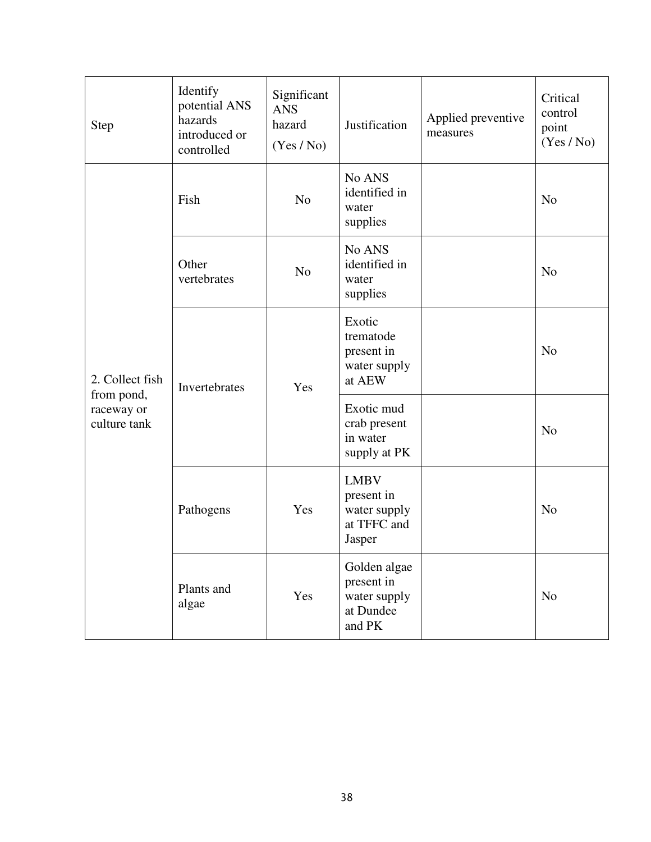| <b>Step</b>                              | Identify<br>potential ANS<br>hazards<br>introduced or<br>controlled | Significant<br><b>ANS</b><br>hazard<br>(Yes / No) | Justification                                                      | Applied preventive<br>measures | Critical<br>control<br>point<br>(Yes / No) |
|------------------------------------------|---------------------------------------------------------------------|---------------------------------------------------|--------------------------------------------------------------------|--------------------------------|--------------------------------------------|
|                                          | Fish                                                                | N <sub>o</sub>                                    | No ANS<br>identified in<br>water<br>supplies                       |                                | N <sub>o</sub>                             |
|                                          | Other<br>vertebrates                                                | N <sub>o</sub>                                    | No ANS<br>identified in<br>water<br>supplies                       |                                | N <sub>o</sub>                             |
| 2. Collect fish                          | Invertebrates                                                       | Yes                                               | Exotic<br>trematode<br>present in<br>water supply<br>at AEW        |                                | N <sub>o</sub>                             |
| from pond,<br>raceway or<br>culture tank |                                                                     |                                                   | Exotic mud<br>crab present<br>in water<br>supply at PK             |                                | N <sub>o</sub>                             |
|                                          | Pathogens                                                           | Yes                                               | <b>LMBV</b><br>present in<br>water supply<br>at TFFC and<br>Jasper |                                | N <sub>o</sub>                             |
|                                          | Plants and<br>algae                                                 | Yes                                               | Golden algae<br>present in<br>water supply<br>at Dundee<br>and PK  |                                | N <sub>o</sub>                             |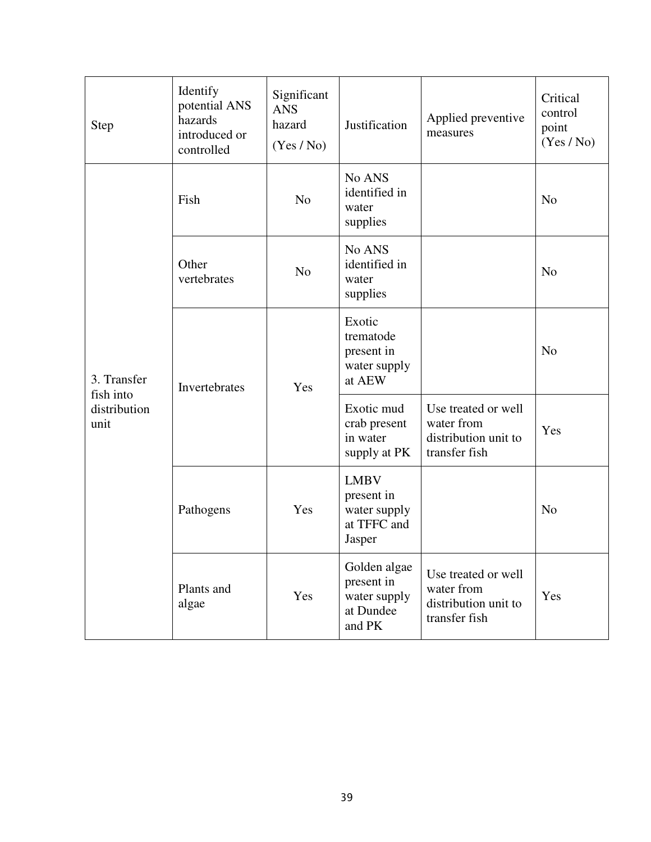| <b>Step</b>                       | Identify<br>potential ANS<br>hazards<br>introduced or<br>controlled | Significant<br><b>ANS</b><br>hazard<br>(Yes / No) | Justification                                                      | Applied preventive<br>measures                                             | Critical<br>control<br>point<br>(Yes / No) |
|-----------------------------------|---------------------------------------------------------------------|---------------------------------------------------|--------------------------------------------------------------------|----------------------------------------------------------------------------|--------------------------------------------|
|                                   | Fish                                                                | N <sub>o</sub>                                    | No ANS<br>identified in<br>water<br>supplies                       |                                                                            | N <sub>o</sub>                             |
|                                   | Other<br>N <sub>o</sub><br>vertebrates                              |                                                   | No ANS<br>identified in<br>water<br>supplies                       |                                                                            | N <sub>o</sub>                             |
| 3. Transfer                       | Invertebrates                                                       | Yes                                               | Exotic<br>trematode<br>present in<br>water supply<br>at AEW        |                                                                            | N <sub>o</sub>                             |
| fish into<br>distribution<br>unit |                                                                     |                                                   | Exotic mud<br>crab present<br>in water<br>supply at PK             | Use treated or well<br>water from<br>distribution unit to<br>transfer fish | Yes                                        |
|                                   | Pathogens<br>Yes                                                    |                                                   | <b>LMBV</b><br>present in<br>water supply<br>at TFFC and<br>Jasper |                                                                            | N <sub>o</sub>                             |
|                                   | Plants and<br>algae                                                 | Yes                                               | Golden algae<br>present in<br>water supply<br>at Dundee<br>and PK  | Use treated or well<br>water from<br>distribution unit to<br>transfer fish | Yes                                        |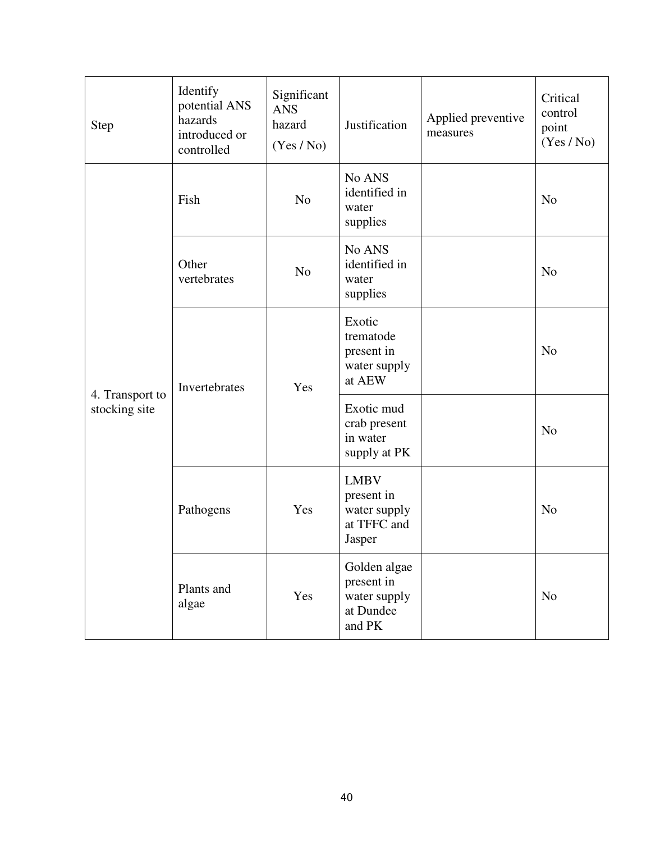| <b>Step</b>                      | Identify<br>potential ANS<br>hazards<br>introduced or<br>controlled | Significant<br><b>ANS</b><br>hazard<br>(Yes / No) | Justification                                                      | Applied preventive<br>measures | Critical<br>control<br>point<br>(Yes / No) |
|----------------------------------|---------------------------------------------------------------------|---------------------------------------------------|--------------------------------------------------------------------|--------------------------------|--------------------------------------------|
|                                  | Fish                                                                | N <sub>o</sub>                                    | No ANS<br>identified in<br>water<br>supplies                       |                                | N <sub>o</sub>                             |
|                                  | Other<br>vertebrates                                                | N <sub>o</sub>                                    | No ANS<br>identified in<br>water<br>supplies                       |                                | N <sub>o</sub>                             |
|                                  | Invertebrates                                                       | Yes                                               | Exotic<br>trematode<br>present in<br>water supply<br>at AEW        |                                | N <sub>o</sub>                             |
| 4. Transport to<br>stocking site |                                                                     |                                                   | Exotic mud<br>crab present<br>in water<br>supply at PK             |                                | N <sub>o</sub>                             |
|                                  | Pathogens                                                           | Yes                                               | <b>LMBV</b><br>present in<br>water supply<br>at TFFC and<br>Jasper |                                | N <sub>o</sub>                             |
|                                  | Plants and<br>algae                                                 | Yes                                               | Golden algae<br>present in<br>water supply<br>at Dundee<br>and PK  |                                | N <sub>o</sub>                             |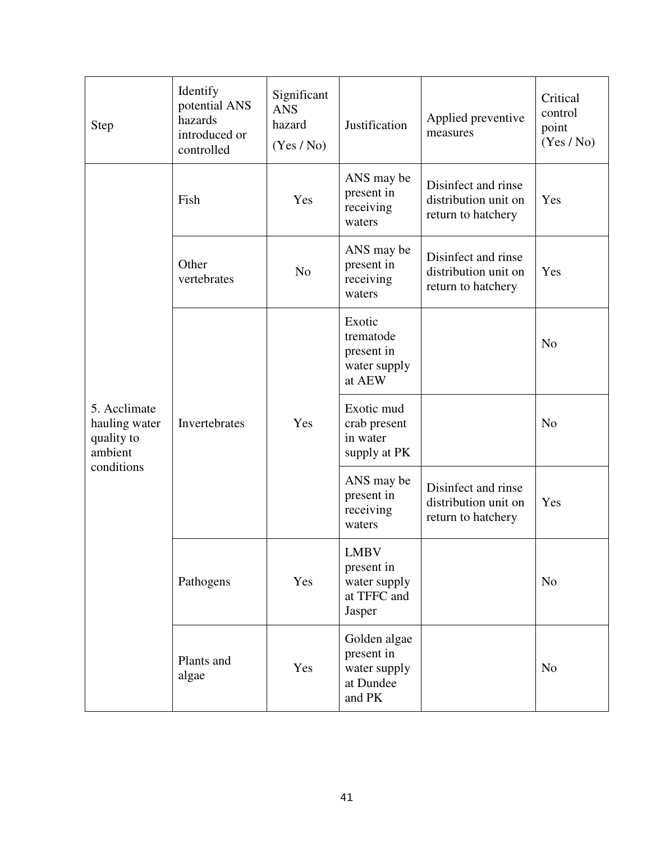| <b>Step</b>                                                          | Identify<br>potential ANS<br>hazards<br>introduced or<br>controlled | Significant<br><b>ANS</b><br>hazard<br>(Yes / No) | Justification                                                     | Applied preventive<br>measures                                    | Critical<br>control<br>point<br>(Yes / No) |
|----------------------------------------------------------------------|---------------------------------------------------------------------|---------------------------------------------------|-------------------------------------------------------------------|-------------------------------------------------------------------|--------------------------------------------|
| 5. Acclimate<br>hauling water<br>quality to<br>ambient<br>conditions | Fish                                                                | Yes                                               | ANS may be<br>present in<br>receiving<br>waters                   | Disinfect and rinse<br>distribution unit on<br>return to hatchery | Yes                                        |
|                                                                      | Other<br>vertebrates                                                | N <sub>o</sub>                                    | ANS may be<br>present in<br>receiving<br>waters                   | Disinfect and rinse<br>distribution unit on<br>return to hatchery | Yes                                        |
|                                                                      |                                                                     |                                                   | Exotic<br>trematode<br>present in<br>water supply<br>at AEW       |                                                                   | N <sub>o</sub>                             |
|                                                                      | Invertebrates                                                       | Yes                                               | Exotic mud<br>crab present<br>in water<br>supply at PK            |                                                                   | N <sub>o</sub>                             |
|                                                                      |                                                                     |                                                   | ANS may be<br>present in<br>receiving<br>waters                   | Disinfect and rinse<br>distribution unit on<br>return to hatchery | Yes                                        |
|                                                                      | Pathogens                                                           | Yes                                               | LMBV<br>present in<br>water supply<br>at TFFC and<br>Jasper       |                                                                   | N <sub>o</sub>                             |
|                                                                      | Plants and<br>algae                                                 | Yes                                               | Golden algae<br>present in<br>water supply<br>at Dundee<br>and PK |                                                                   | N <sub>o</sub>                             |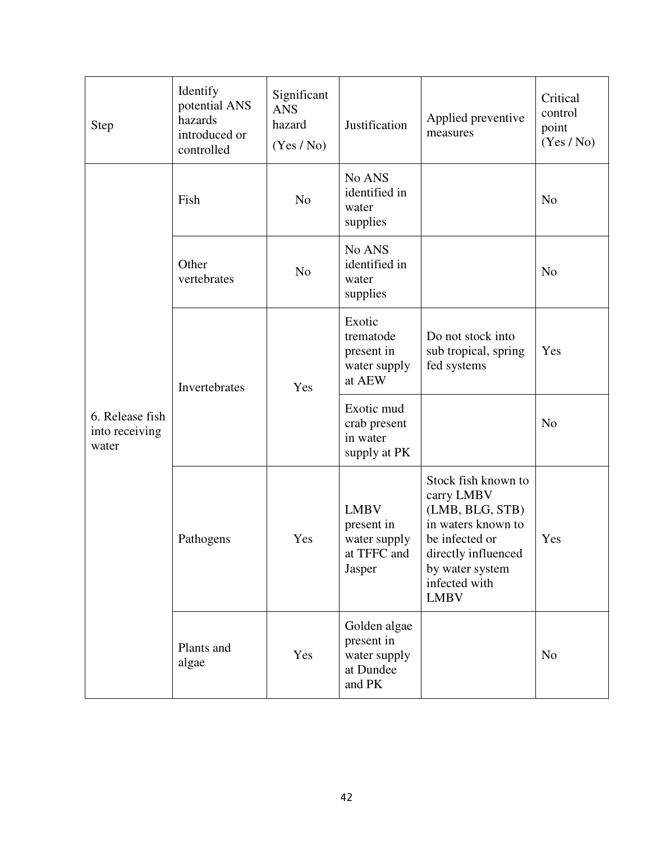| <b>Step</b>                                | Identify<br>potential ANS<br>hazards<br>introduced or<br>controlled | Significant<br><b>ANS</b><br>hazard<br>(Yes / No) | Justification                                                      | Applied preventive<br>measures                                                                                                                                         | Critical<br>control<br>point<br>(Yes / No) |
|--------------------------------------------|---------------------------------------------------------------------|---------------------------------------------------|--------------------------------------------------------------------|------------------------------------------------------------------------------------------------------------------------------------------------------------------------|--------------------------------------------|
|                                            | Fish                                                                | N <sub>o</sub>                                    | No ANS<br>identified in<br>water<br>supplies                       |                                                                                                                                                                        | N <sub>o</sub>                             |
|                                            | Other<br>vertebrates                                                | N <sub>o</sub>                                    | No ANS<br>identified in<br>water<br>supplies                       |                                                                                                                                                                        | N <sub>o</sub>                             |
|                                            | Invertebrates                                                       | Yes                                               | Exotic<br>trematode<br>present in<br>water supply<br>at AEW        | Do not stock into<br>sub tropical, spring<br>fed systems                                                                                                               | Yes                                        |
| 6. Release fish<br>into receiving<br>water |                                                                     |                                                   | Exotic mud<br>crab present<br>in water<br>supply at PK             |                                                                                                                                                                        | N <sub>o</sub>                             |
|                                            | Pathogens                                                           | Yes                                               | <b>LMBV</b><br>present in<br>water supply<br>at TFFC and<br>Jasper | Stock fish known to<br>carry LMBV<br>(LMB, BLG, STB)<br>in waters known to<br>be infected or<br>directly influenced<br>by water system<br>infected with<br><b>LMBV</b> | Yes                                        |
|                                            | Plants and<br>algae                                                 | Yes                                               | Golden algae<br>present in<br>water supply<br>at Dundee<br>and PK  |                                                                                                                                                                        | N <sub>o</sub>                             |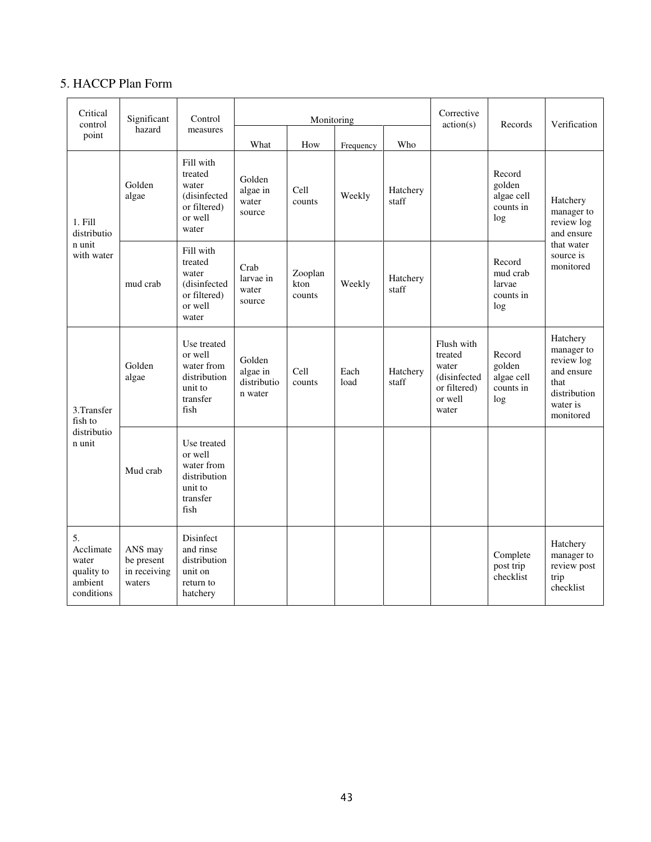# 5. HACCP Plan Form

| Critical<br>control                                             | Significant                                     | Control                                                                             | Monitoring                                   |                           |              |                   | Corrective<br>action(s)                                                            | Records                                            | Verification                                                                                        |
|-----------------------------------------------------------------|-------------------------------------------------|-------------------------------------------------------------------------------------|----------------------------------------------|---------------------------|--------------|-------------------|------------------------------------------------------------------------------------|----------------------------------------------------|-----------------------------------------------------------------------------------------------------|
| point                                                           | hazard                                          | measures                                                                            | What                                         | How                       | Frequency    | Who               |                                                                                    |                                                    |                                                                                                     |
| 1. Fill<br>distributio<br>n unit<br>with water                  | Golden<br>algae                                 | Fill with<br>treated<br>water<br>(disinfected<br>or filtered)<br>or well<br>water   | Golden<br>algae in<br>water<br>source        | Cell<br>counts            | Weekly       | Hatchery<br>staff |                                                                                    | Record<br>golden<br>algae cell<br>counts in<br>log | Hatchery<br>manager to<br>review log<br>and ensure                                                  |
|                                                                 | mud crab                                        | Fill with<br>treated<br>water<br>(disinfected<br>or filtered)<br>or well<br>water   | Crab<br>larvae in<br>water<br>source         | Zooplan<br>kton<br>counts | Weekly       | Hatchery<br>staff |                                                                                    | Record<br>mud crab<br>larvae<br>counts in<br>log   | that water<br>source is<br>monitored                                                                |
| 3.Transfer<br>fish to<br>distributio<br>n unit                  | Golden<br>algae                                 | Use treated<br>or well<br>water from<br>distribution<br>unit to<br>transfer<br>fish | Golden<br>algae in<br>distributio<br>n water | Cell<br>counts            | Each<br>load | Hatchery<br>staff | Flush with<br>treated<br>water<br>(disinfected<br>or filtered)<br>or well<br>water | Record<br>golden<br>algae cell<br>counts in<br>log | Hatchery<br>manager to<br>review log<br>and ensure<br>that<br>distribution<br>water is<br>monitored |
|                                                                 | Mud crab                                        | Use treated<br>or well<br>water from<br>distribution<br>unit to<br>transfer<br>fish |                                              |                           |              |                   |                                                                                    |                                                    |                                                                                                     |
| 5.<br>Acclimate<br>water<br>quality to<br>ambient<br>conditions | ANS may<br>be present<br>in receiving<br>waters | Disinfect<br>and rinse<br>distribution<br>unit on<br>return to<br>hatchery          |                                              |                           |              |                   |                                                                                    | Complete<br>post trip<br>checklist                 | Hatchery<br>manager to<br>review post<br>trip<br>checklist                                          |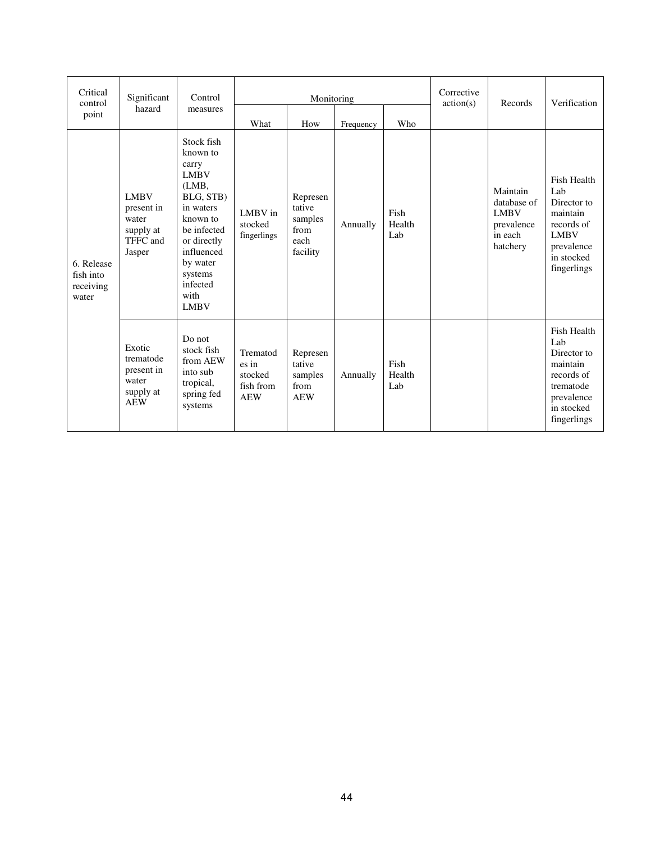| Critical<br>control                           | Significant                                                           | Control                                                                                                                                                                                             | Monitoring                                              |                                                           |           |                       | Corrective<br>action(s) | Records                                                                     | Verification                                                                                                          |
|-----------------------------------------------|-----------------------------------------------------------------------|-----------------------------------------------------------------------------------------------------------------------------------------------------------------------------------------------------|---------------------------------------------------------|-----------------------------------------------------------|-----------|-----------------------|-------------------------|-----------------------------------------------------------------------------|-----------------------------------------------------------------------------------------------------------------------|
| point                                         | hazard                                                                | measures                                                                                                                                                                                            | What                                                    | How                                                       | Frequency | Who                   |                         |                                                                             |                                                                                                                       |
| 6. Release<br>fish into<br>receiving<br>water | <b>LMBV</b><br>present in<br>water<br>supply at<br>TFFC and<br>Jasper | Stock fish<br>known to<br>carry<br><b>LMBV</b><br>(LMB,<br>BLG, STB)<br>in waters<br>known to<br>be infected<br>or directly<br>influenced<br>by water<br>systems<br>infected<br>with<br><b>LMBV</b> | LMBV in<br>stocked<br>fingerlings                       | Represen<br>tative<br>samples<br>from<br>each<br>facility | Annually  | Fish<br>Health<br>Lab |                         | Maintain<br>database of<br><b>LMBV</b><br>prevalence<br>in each<br>hatchery | Fish Health<br>Lab<br>Director to<br>maintain<br>records of<br><b>LMBV</b><br>prevalence<br>in stocked<br>fingerlings |
|                                               | Exotic<br>trematode<br>present in<br>water<br>supply at<br><b>AEW</b> | Do not<br>stock fish<br>from AEW<br>into sub<br>tropical,<br>spring fed<br>systems                                                                                                                  | Trematod<br>es in<br>stocked<br>fish from<br><b>AEW</b> | Represen<br>tative<br>samples<br>from<br><b>AEW</b>       | Annually  | Fish<br>Health<br>Lab |                         |                                                                             | Fish Health<br>Lab<br>Director to<br>maintain<br>records of<br>trematode<br>prevalence<br>in stocked<br>fingerlings   |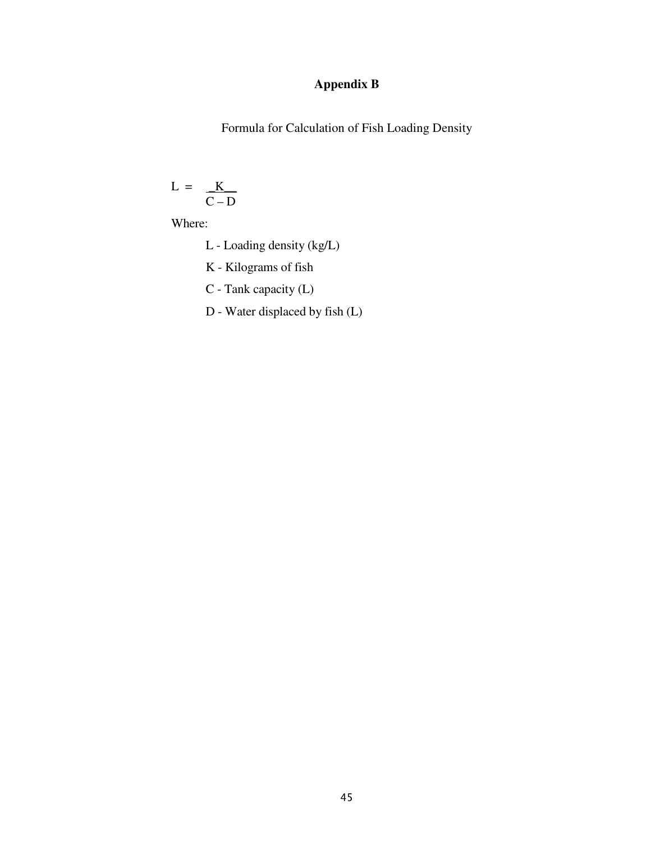# **Appendix B**

Formula for Calculation of Fish Loading Density

$$
L = \frac{K}{C - D}
$$

Where:

- L Loading density (kg/L)
- K Kilograms of fish
- C Tank capacity (L)
- D Water displaced by fish (L)